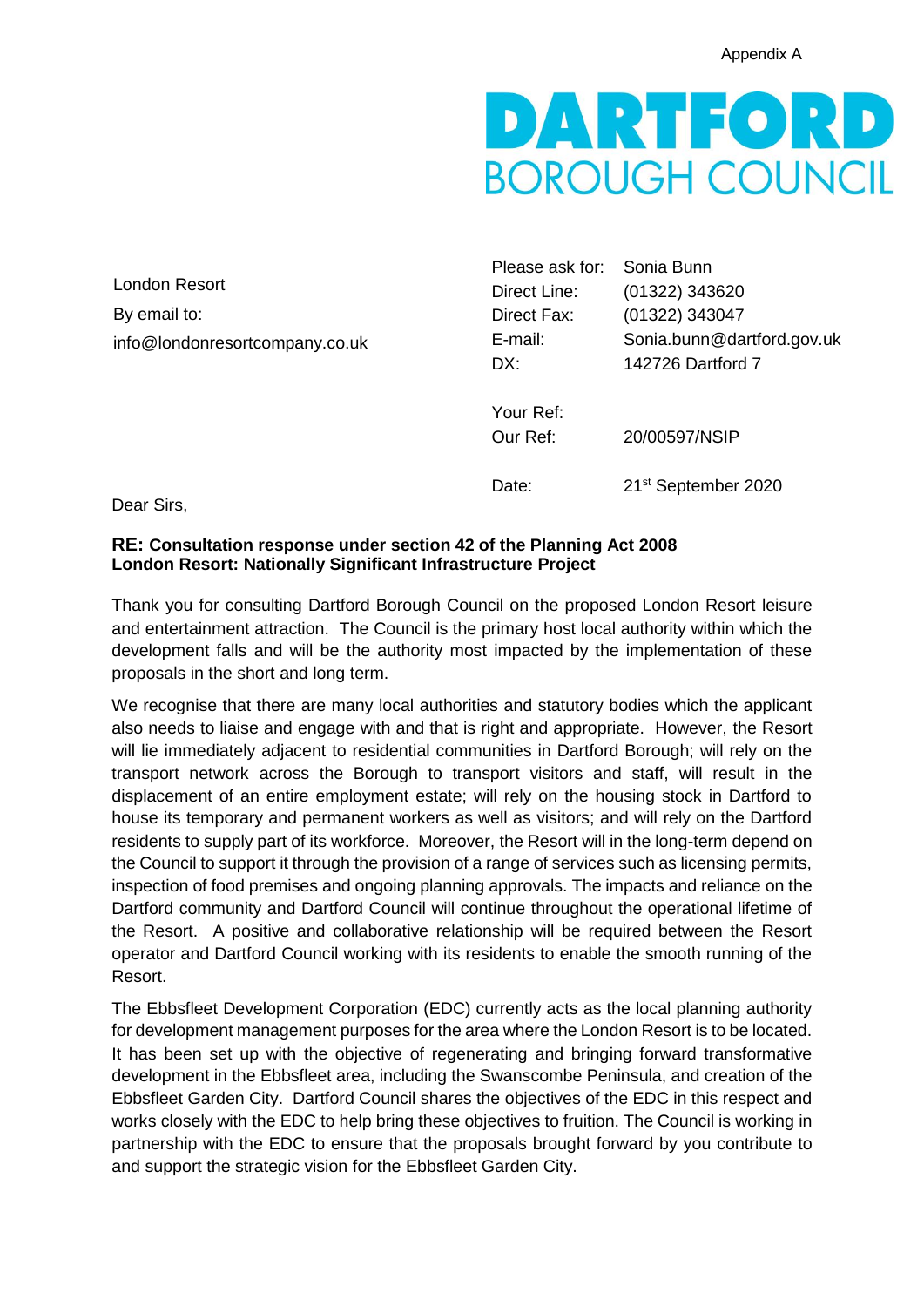

London Resort By email to: info@londonresortcompany.co.uk

Please ask for: Sonia Bunn Direct Line: (01322) 343620 Direct Fax: (01322) 343047 E-mail: Sonia.bunn@dartford.gov.uk DX: 142726 Dartford 7 Your Ref: Our Ref: 20/00597/NSIP Date: 21<sup>st</sup> September 2020

Dear Sirs,

#### **RE: Consultation response under section 42 of the Planning Act 2008 London Resort: Nationally Significant Infrastructure Project**

Thank you for consulting Dartford Borough Council on the proposed London Resort leisure and entertainment attraction. The Council is the primary host local authority within which the development falls and will be the authority most impacted by the implementation of these proposals in the short and long term.

We recognise that there are many local authorities and statutory bodies which the applicant also needs to liaise and engage with and that is right and appropriate. However, the Resort will lie immediately adjacent to residential communities in Dartford Borough; will rely on the transport network across the Borough to transport visitors and staff, will result in the displacement of an entire employment estate; will rely on the housing stock in Dartford to house its temporary and permanent workers as well as visitors; and will rely on the Dartford residents to supply part of its workforce. Moreover, the Resort will in the long-term depend on the Council to support it through the provision of a range of services such as licensing permits, inspection of food premises and ongoing planning approvals. The impacts and reliance on the Dartford community and Dartford Council will continue throughout the operational lifetime of the Resort. A positive and collaborative relationship will be required between the Resort operator and Dartford Council working with its residents to enable the smooth running of the Resort.

The Ebbsfleet Development Corporation (EDC) currently acts as the local planning authority for development management purposes for the area where the London Resort is to be located. It has been set up with the objective of regenerating and bringing forward transformative development in the Ebbsfleet area, including the Swanscombe Peninsula, and creation of the Ebbsfleet Garden City. Dartford Council shares the objectives of the EDC in this respect and works closely with the EDC to help bring these objectives to fruition. The Council is working in partnership with the EDC to ensure that the proposals brought forward by you contribute to and support the strategic vision for the Ebbsfleet Garden City.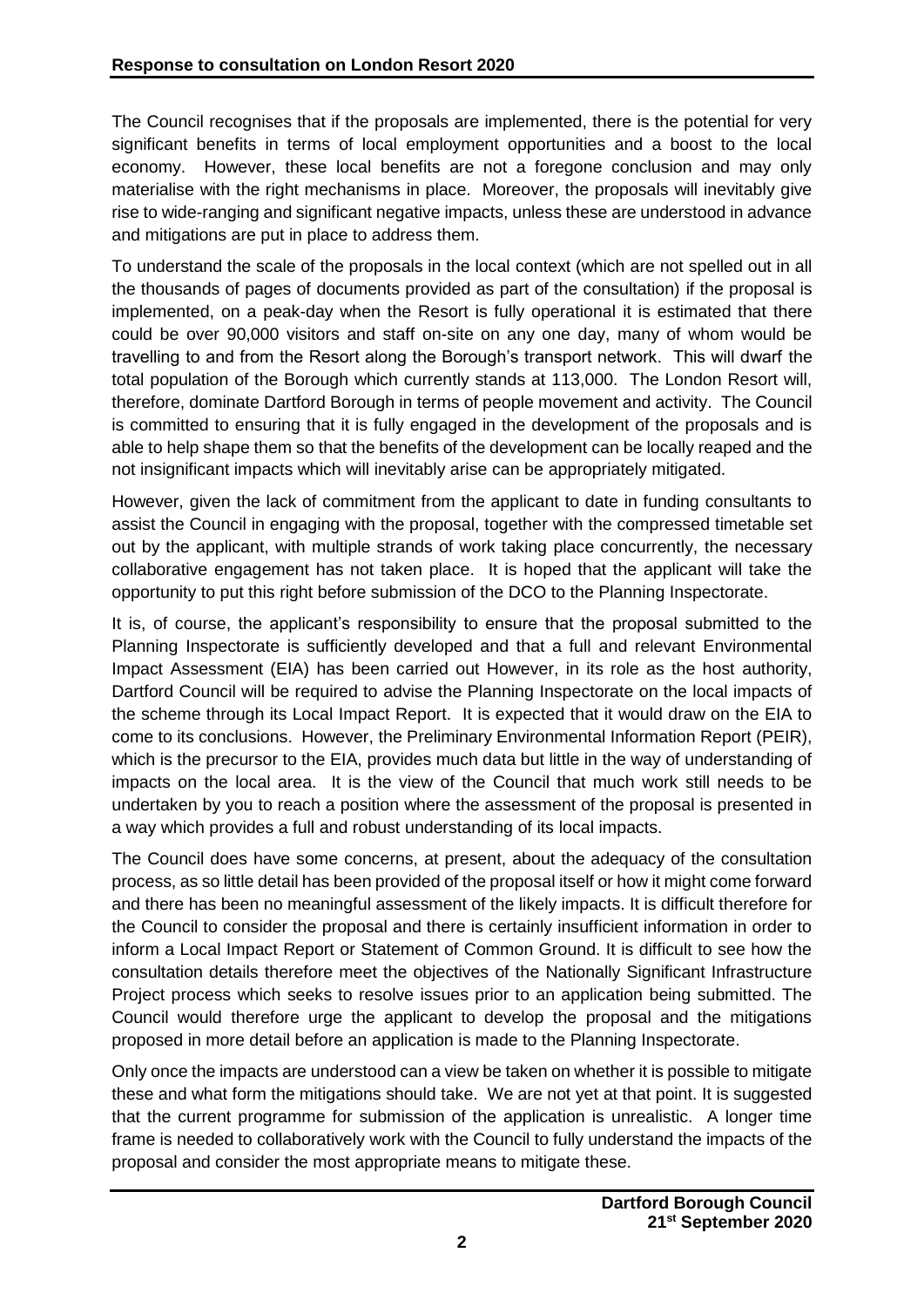The Council recognises that if the proposals are implemented, there is the potential for very significant benefits in terms of local employment opportunities and a boost to the local economy. However, these local benefits are not a foregone conclusion and may only materialise with the right mechanisms in place. Moreover, the proposals will inevitably give rise to wide-ranging and significant negative impacts, unless these are understood in advance and mitigations are put in place to address them.

To understand the scale of the proposals in the local context (which are not spelled out in all the thousands of pages of documents provided as part of the consultation) if the proposal is implemented, on a peak-day when the Resort is fully operational it is estimated that there could be over 90,000 visitors and staff on-site on any one day, many of whom would be travelling to and from the Resort along the Borough's transport network. This will dwarf the total population of the Borough which currently stands at 113,000. The London Resort will, therefore, dominate Dartford Borough in terms of people movement and activity. The Council is committed to ensuring that it is fully engaged in the development of the proposals and is able to help shape them so that the benefits of the development can be locally reaped and the not insignificant impacts which will inevitably arise can be appropriately mitigated.

However, given the lack of commitment from the applicant to date in funding consultants to assist the Council in engaging with the proposal, together with the compressed timetable set out by the applicant, with multiple strands of work taking place concurrently, the necessary collaborative engagement has not taken place. It is hoped that the applicant will take the opportunity to put this right before submission of the DCO to the Planning Inspectorate.

It is, of course, the applicant's responsibility to ensure that the proposal submitted to the Planning Inspectorate is sufficiently developed and that a full and relevant Environmental Impact Assessment (EIA) has been carried out However, in its role as the host authority, Dartford Council will be required to advise the Planning Inspectorate on the local impacts of the scheme through its Local Impact Report. It is expected that it would draw on the EIA to come to its conclusions. However, the Preliminary Environmental Information Report (PEIR), which is the precursor to the EIA, provides much data but little in the way of understanding of impacts on the local area. It is the view of the Council that much work still needs to be undertaken by you to reach a position where the assessment of the proposal is presented in a way which provides a full and robust understanding of its local impacts.

The Council does have some concerns, at present, about the adequacy of the consultation process, as so little detail has been provided of the proposal itself or how it might come forward and there has been no meaningful assessment of the likely impacts. It is difficult therefore for the Council to consider the proposal and there is certainly insufficient information in order to inform a Local Impact Report or Statement of Common Ground. It is difficult to see how the consultation details therefore meet the objectives of the Nationally Significant Infrastructure Project process which seeks to resolve issues prior to an application being submitted. The Council would therefore urge the applicant to develop the proposal and the mitigations proposed in more detail before an application is made to the Planning Inspectorate.

Only once the impacts are understood can a view be taken on whether it is possible to mitigate these and what form the mitigations should take. We are not yet at that point. It is suggested that the current programme for submission of the application is unrealistic. A longer time frame is needed to collaboratively work with the Council to fully understand the impacts of the proposal and consider the most appropriate means to mitigate these.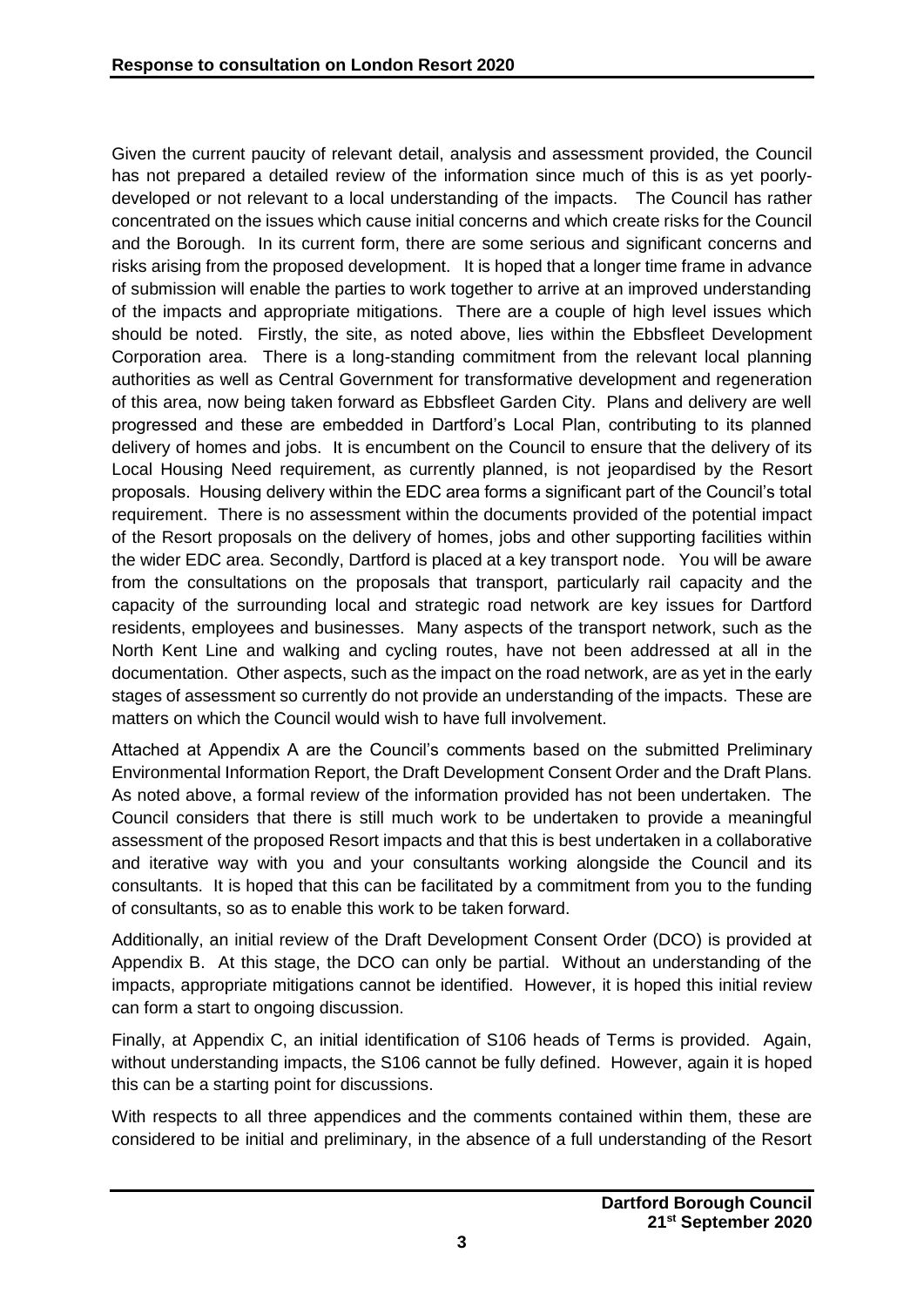Given the current paucity of relevant detail, analysis and assessment provided, the Council has not prepared a detailed review of the information since much of this is as yet poorlydeveloped or not relevant to a local understanding of the impacts. The Council has rather concentrated on the issues which cause initial concerns and which create risks for the Council and the Borough. In its current form, there are some serious and significant concerns and risks arising from the proposed development. It is hoped that a longer time frame in advance of submission will enable the parties to work together to arrive at an improved understanding of the impacts and appropriate mitigations. There are a couple of high level issues which should be noted. Firstly, the site, as noted above, lies within the Ebbsfleet Development Corporation area. There is a long-standing commitment from the relevant local planning authorities as well as Central Government for transformative development and regeneration of this area, now being taken forward as Ebbsfleet Garden City. Plans and delivery are well progressed and these are embedded in Dartford's Local Plan, contributing to its planned delivery of homes and jobs. It is encumbent on the Council to ensure that the delivery of its Local Housing Need requirement, as currently planned, is not jeopardised by the Resort proposals. Housing delivery within the EDC area forms a significant part of the Council's total requirement. There is no assessment within the documents provided of the potential impact of the Resort proposals on the delivery of homes, jobs and other supporting facilities within the wider EDC area. Secondly, Dartford is placed at a key transport node. You will be aware from the consultations on the proposals that transport, particularly rail capacity and the capacity of the surrounding local and strategic road network are key issues for Dartford residents, employees and businesses. Many aspects of the transport network, such as the North Kent Line and walking and cycling routes, have not been addressed at all in the documentation. Other aspects, such as the impact on the road network, are as yet in the early stages of assessment so currently do not provide an understanding of the impacts. These are matters on which the Council would wish to have full involvement.

Attached at Appendix A are the Council's comments based on the submitted Preliminary Environmental Information Report, the Draft Development Consent Order and the Draft Plans. As noted above, a formal review of the information provided has not been undertaken. The Council considers that there is still much work to be undertaken to provide a meaningful assessment of the proposed Resort impacts and that this is best undertaken in a collaborative and iterative way with you and your consultants working alongside the Council and its consultants. It is hoped that this can be facilitated by a commitment from you to the funding of consultants, so as to enable this work to be taken forward.

Additionally, an initial review of the Draft Development Consent Order (DCO) is provided at Appendix B. At this stage, the DCO can only be partial. Without an understanding of the impacts, appropriate mitigations cannot be identified. However, it is hoped this initial review can form a start to ongoing discussion.

Finally, at Appendix C, an initial identification of S106 heads of Terms is provided. Again, without understanding impacts, the S106 cannot be fully defined. However, again it is hoped this can be a starting point for discussions.

With respects to all three appendices and the comments contained within them, these are considered to be initial and preliminary, in the absence of a full understanding of the Resort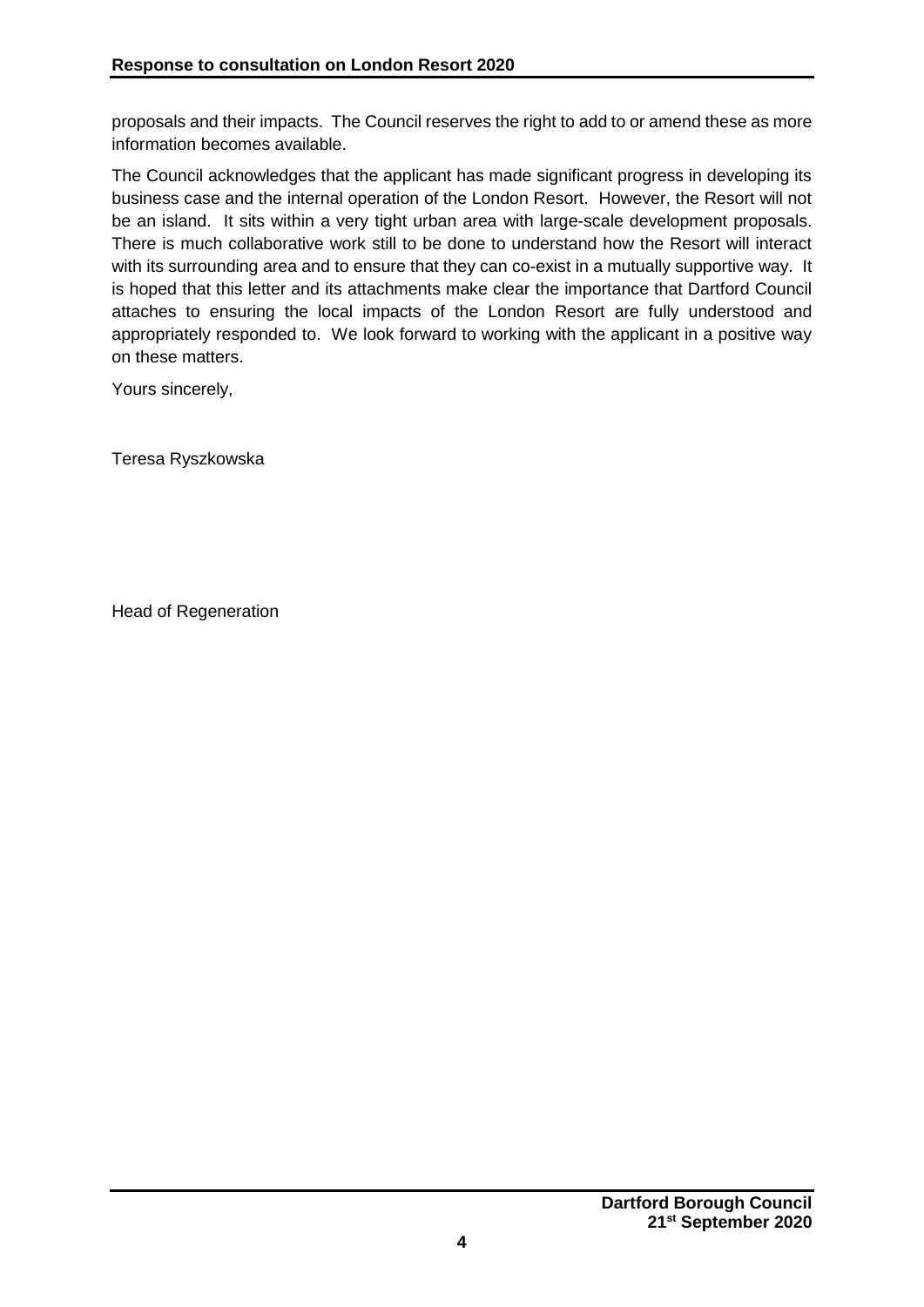proposals and their impacts. The Council reserves the right to add to or amend these as more information becomes available.

The Council acknowledges that the applicant has made significant progress in developing its business case and the internal operation of the London Resort. However, the Resort will not be an island. It sits within a very tight urban area with large-scale development proposals. There is much collaborative work still to be done to understand how the Resort will interact with its surrounding area and to ensure that they can co-exist in a mutually supportive way. It is hoped that this letter and its attachments make clear the importance that Dartford Council attaches to ensuring the local impacts of the London Resort are fully understood and appropriately responded to. We look forward to working with the applicant in a positive way on these matters.

Yours sincerely,

Teresa Ryszkowska

Head of Regeneration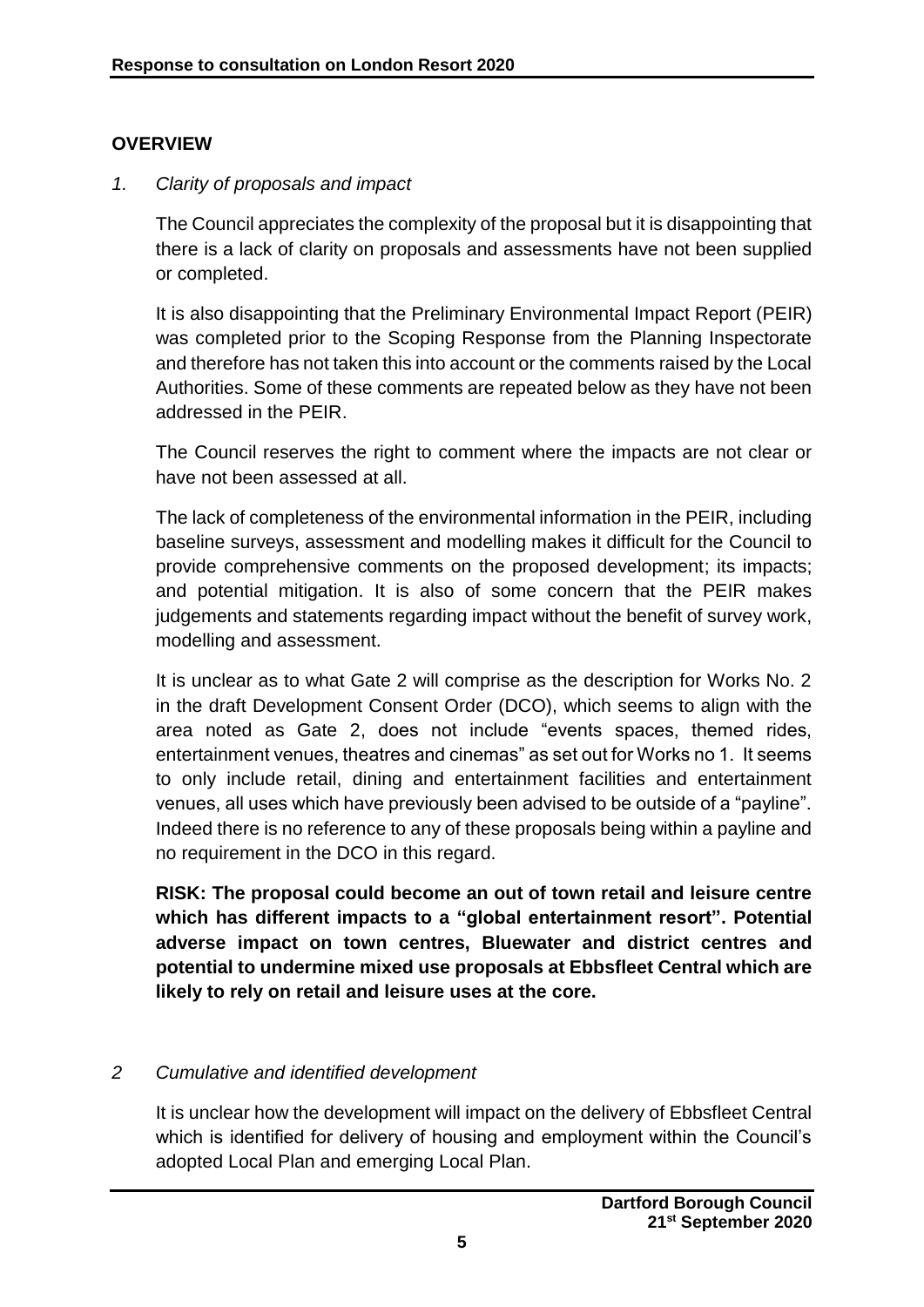#### **OVERVIEW**

#### *1. Clarity of proposals and impact*

The Council appreciates the complexity of the proposal but it is disappointing that there is a lack of clarity on proposals and assessments have not been supplied or completed.

It is also disappointing that the Preliminary Environmental Impact Report (PEIR) was completed prior to the Scoping Response from the Planning Inspectorate and therefore has not taken this into account or the comments raised by the Local Authorities. Some of these comments are repeated below as they have not been addressed in the PEIR.

The Council reserves the right to comment where the impacts are not clear or have not been assessed at all.

The lack of completeness of the environmental information in the PEIR, including baseline surveys, assessment and modelling makes it difficult for the Council to provide comprehensive comments on the proposed development; its impacts; and potential mitigation. It is also of some concern that the PEIR makes judgements and statements regarding impact without the benefit of survey work, modelling and assessment.

It is unclear as to what Gate 2 will comprise as the description for Works No. 2 in the draft Development Consent Order (DCO), which seems to align with the area noted as Gate 2, does not include "events spaces, themed rides, entertainment venues, theatres and cinemas" as set out for Works no 1. It seems to only include retail, dining and entertainment facilities and entertainment venues, all uses which have previously been advised to be outside of a "payline". Indeed there is no reference to any of these proposals being within a payline and no requirement in the DCO in this regard.

**RISK: The proposal could become an out of town retail and leisure centre which has different impacts to a "global entertainment resort". Potential adverse impact on town centres, Bluewater and district centres and potential to undermine mixed use proposals at Ebbsfleet Central which are likely to rely on retail and leisure uses at the core.** 

#### *2 Cumulative and identified development*

It is unclear how the development will impact on the delivery of Ebbsfleet Central which is identified for delivery of housing and employment within the Council's adopted Local Plan and emerging Local Plan.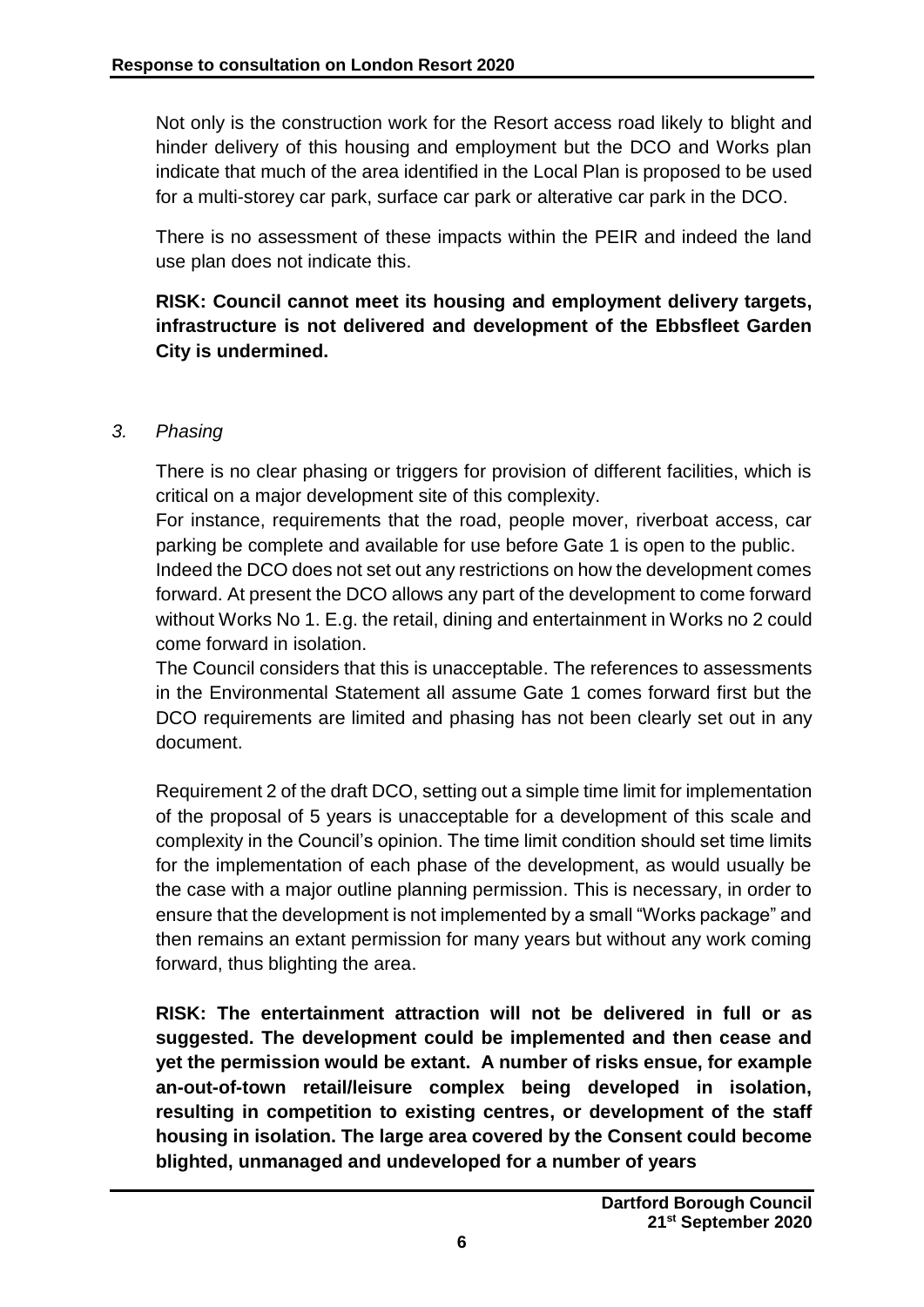Not only is the construction work for the Resort access road likely to blight and hinder delivery of this housing and employment but the DCO and Works plan indicate that much of the area identified in the Local Plan is proposed to be used for a multi-storey car park, surface car park or alterative car park in the DCO.

There is no assessment of these impacts within the PEIR and indeed the land use plan does not indicate this.

**RISK: Council cannot meet its housing and employment delivery targets, infrastructure is not delivered and development of the Ebbsfleet Garden City is undermined.**

# *3. Phasing*

There is no clear phasing or triggers for provision of different facilities, which is critical on a major development site of this complexity.

For instance, requirements that the road, people mover, riverboat access, car parking be complete and available for use before Gate 1 is open to the public.

Indeed the DCO does not set out any restrictions on how the development comes forward. At present the DCO allows any part of the development to come forward without Works No 1. E.g. the retail, dining and entertainment in Works no 2 could come forward in isolation.

The Council considers that this is unacceptable. The references to assessments in the Environmental Statement all assume Gate 1 comes forward first but the DCO requirements are limited and phasing has not been clearly set out in any document.

Requirement 2 of the draft DCO, setting out a simple time limit for implementation of the proposal of 5 years is unacceptable for a development of this scale and complexity in the Council's opinion. The time limit condition should set time limits for the implementation of each phase of the development, as would usually be the case with a major outline planning permission. This is necessary, in order to ensure that the development is not implemented by a small "Works package" and then remains an extant permission for many years but without any work coming forward, thus blighting the area.

**RISK: The entertainment attraction will not be delivered in full or as suggested. The development could be implemented and then cease and yet the permission would be extant. A number of risks ensue, for example an-out-of-town retail/leisure complex being developed in isolation, resulting in competition to existing centres, or development of the staff housing in isolation. The large area covered by the Consent could become blighted, unmanaged and undeveloped for a number of years**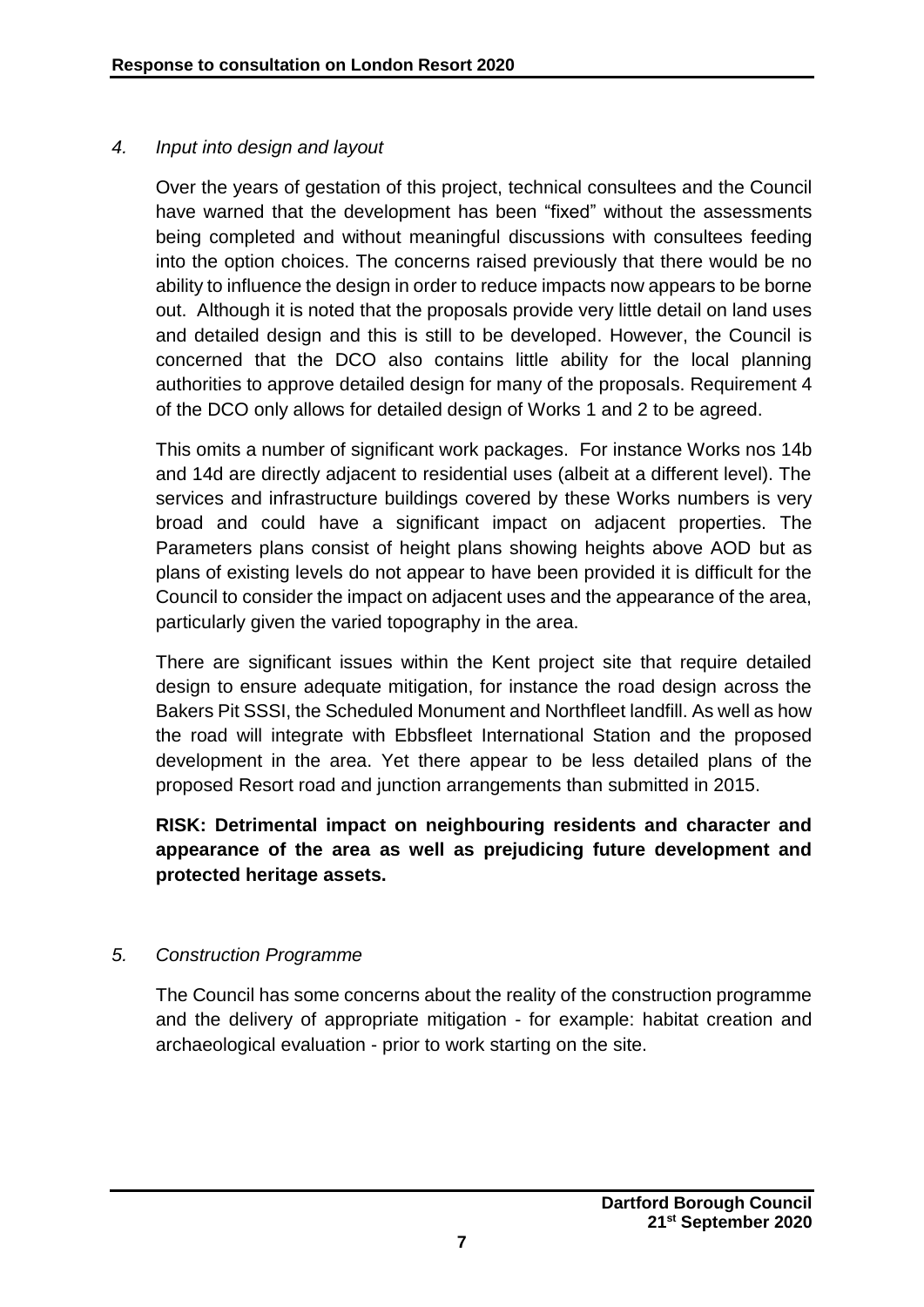#### *4. Input into design and layout*

Over the years of gestation of this project, technical consultees and the Council have warned that the development has been "fixed" without the assessments being completed and without meaningful discussions with consultees feeding into the option choices. The concerns raised previously that there would be no ability to influence the design in order to reduce impacts now appears to be borne out. Although it is noted that the proposals provide very little detail on land uses and detailed design and this is still to be developed. However, the Council is concerned that the DCO also contains little ability for the local planning authorities to approve detailed design for many of the proposals. Requirement 4 of the DCO only allows for detailed design of Works 1 and 2 to be agreed.

This omits a number of significant work packages. For instance Works nos 14b and 14d are directly adjacent to residential uses (albeit at a different level). The services and infrastructure buildings covered by these Works numbers is very broad and could have a significant impact on adjacent properties. The Parameters plans consist of height plans showing heights above AOD but as plans of existing levels do not appear to have been provided it is difficult for the Council to consider the impact on adjacent uses and the appearance of the area, particularly given the varied topography in the area.

There are significant issues within the Kent project site that require detailed design to ensure adequate mitigation, for instance the road design across the Bakers Pit SSSI, the Scheduled Monument and Northfleet landfill. As well as how the road will integrate with Ebbsfleet International Station and the proposed development in the area. Yet there appear to be less detailed plans of the proposed Resort road and junction arrangements than submitted in 2015.

**RISK: Detrimental impact on neighbouring residents and character and appearance of the area as well as prejudicing future development and protected heritage assets.**

# *5. Construction Programme*

The Council has some concerns about the reality of the construction programme and the delivery of appropriate mitigation - for example: habitat creation and archaeological evaluation - prior to work starting on the site.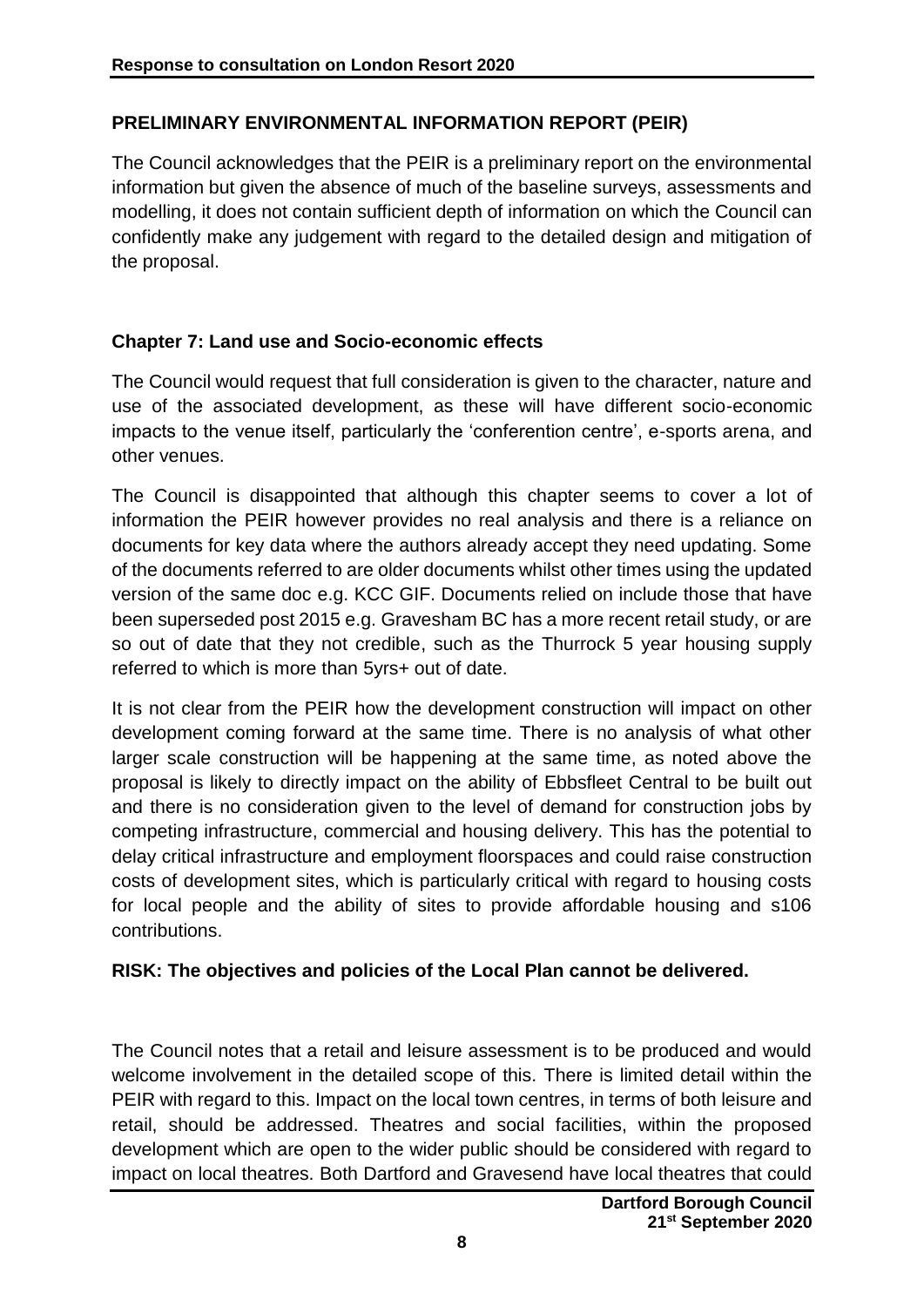# **PRELIMINARY ENVIRONMENTAL INFORMATION REPORT (PEIR)**

The Council acknowledges that the PEIR is a preliminary report on the environmental information but given the absence of much of the baseline surveys, assessments and modelling, it does not contain sufficient depth of information on which the Council can confidently make any judgement with regard to the detailed design and mitigation of the proposal.

#### **Chapter 7: Land use and Socio-economic effects**

The Council would request that full consideration is given to the character, nature and use of the associated development, as these will have different socio-economic impacts to the venue itself, particularly the 'conferention centre', e-sports arena, and other venues.

The Council is disappointed that although this chapter seems to cover a lot of information the PEIR however provides no real analysis and there is a reliance on documents for key data where the authors already accept they need updating. Some of the documents referred to are older documents whilst other times using the updated version of the same doc e.g. KCC GIF. Documents relied on include those that have been superseded post 2015 e.g. Gravesham BC has a more recent retail study, or are so out of date that they not credible, such as the Thurrock 5 year housing supply referred to which is more than 5yrs+ out of date.

It is not clear from the PEIR how the development construction will impact on other development coming forward at the same time. There is no analysis of what other larger scale construction will be happening at the same time, as noted above the proposal is likely to directly impact on the ability of Ebbsfleet Central to be built out and there is no consideration given to the level of demand for construction jobs by competing infrastructure, commercial and housing delivery. This has the potential to delay critical infrastructure and employment floorspaces and could raise construction costs of development sites, which is particularly critical with regard to housing costs for local people and the ability of sites to provide affordable housing and s106 contributions.

#### **RISK: The objectives and policies of the Local Plan cannot be delivered.**

The Council notes that a retail and leisure assessment is to be produced and would welcome involvement in the detailed scope of this. There is limited detail within the PEIR with regard to this. Impact on the local town centres, in terms of both leisure and retail, should be addressed. Theatres and social facilities, within the proposed development which are open to the wider public should be considered with regard to impact on local theatres. Both Dartford and Gravesend have local theatres that could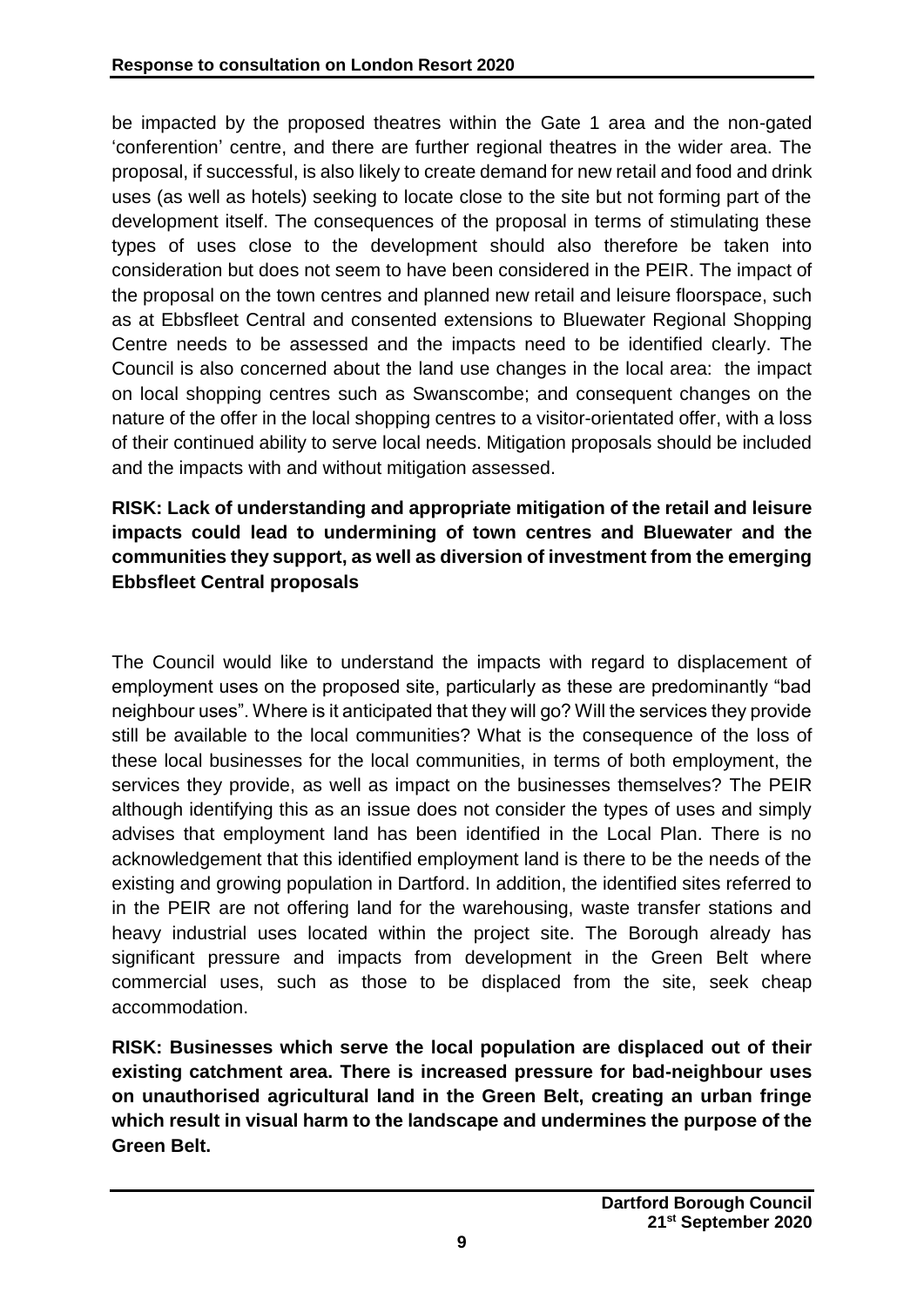be impacted by the proposed theatres within the Gate 1 area and the non-gated 'conferention' centre, and there are further regional theatres in the wider area. The proposal, if successful, is also likely to create demand for new retail and food and drink uses (as well as hotels) seeking to locate close to the site but not forming part of the development itself. The consequences of the proposal in terms of stimulating these types of uses close to the development should also therefore be taken into consideration but does not seem to have been considered in the PEIR. The impact of the proposal on the town centres and planned new retail and leisure floorspace, such as at Ebbsfleet Central and consented extensions to Bluewater Regional Shopping Centre needs to be assessed and the impacts need to be identified clearly. The Council is also concerned about the land use changes in the local area: the impact on local shopping centres such as Swanscombe; and consequent changes on the nature of the offer in the local shopping centres to a visitor-orientated offer, with a loss of their continued ability to serve local needs. Mitigation proposals should be included and the impacts with and without mitigation assessed.

# **RISK: Lack of understanding and appropriate mitigation of the retail and leisure impacts could lead to undermining of town centres and Bluewater and the communities they support, as well as diversion of investment from the emerging Ebbsfleet Central proposals**

The Council would like to understand the impacts with regard to displacement of employment uses on the proposed site, particularly as these are predominantly "bad neighbour uses". Where is it anticipated that they will go? Will the services they provide still be available to the local communities? What is the consequence of the loss of these local businesses for the local communities, in terms of both employment, the services they provide, as well as impact on the businesses themselves? The PEIR although identifying this as an issue does not consider the types of uses and simply advises that employment land has been identified in the Local Plan. There is no acknowledgement that this identified employment land is there to be the needs of the existing and growing population in Dartford. In addition, the identified sites referred to in the PEIR are not offering land for the warehousing, waste transfer stations and heavy industrial uses located within the project site. The Borough already has significant pressure and impacts from development in the Green Belt where commercial uses, such as those to be displaced from the site, seek cheap accommodation.

**RISK: Businesses which serve the local population are displaced out of their existing catchment area. There is increased pressure for bad-neighbour uses on unauthorised agricultural land in the Green Belt, creating an urban fringe which result in visual harm to the landscape and undermines the purpose of the Green Belt.**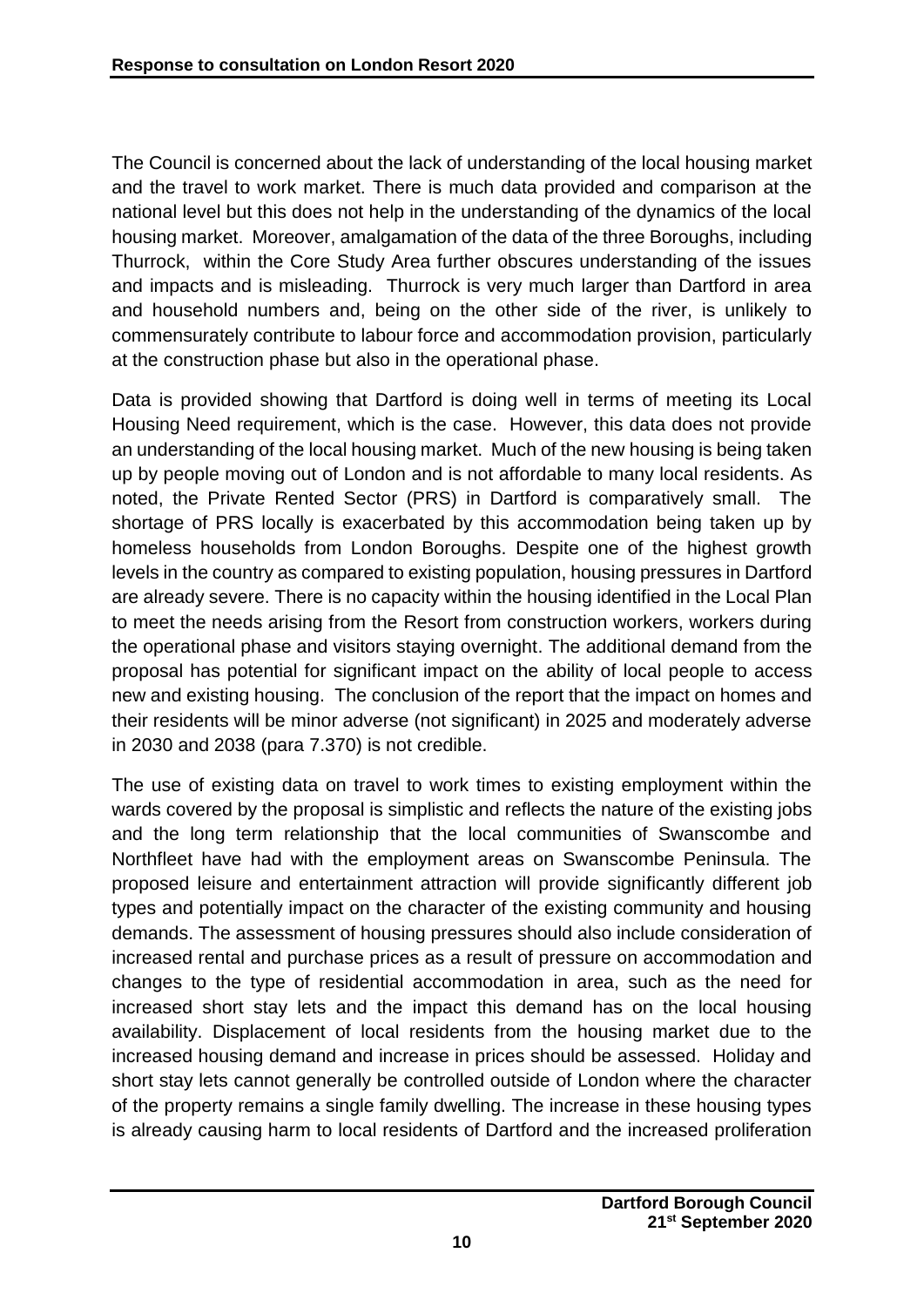The Council is concerned about the lack of understanding of the local housing market and the travel to work market. There is much data provided and comparison at the national level but this does not help in the understanding of the dynamics of the local housing market. Moreover, amalgamation of the data of the three Boroughs, including Thurrock, within the Core Study Area further obscures understanding of the issues and impacts and is misleading. Thurrock is very much larger than Dartford in area and household numbers and, being on the other side of the river, is unlikely to commensurately contribute to labour force and accommodation provision, particularly at the construction phase but also in the operational phase.

Data is provided showing that Dartford is doing well in terms of meeting its Local Housing Need requirement, which is the case. However, this data does not provide an understanding of the local housing market. Much of the new housing is being taken up by people moving out of London and is not affordable to many local residents. As noted, the Private Rented Sector (PRS) in Dartford is comparatively small. The shortage of PRS locally is exacerbated by this accommodation being taken up by homeless households from London Boroughs. Despite one of the highest growth levels in the country as compared to existing population, housing pressures in Dartford are already severe. There is no capacity within the housing identified in the Local Plan to meet the needs arising from the Resort from construction workers, workers during the operational phase and visitors staying overnight. The additional demand from the proposal has potential for significant impact on the ability of local people to access new and existing housing. The conclusion of the report that the impact on homes and their residents will be minor adverse (not significant) in 2025 and moderately adverse in 2030 and 2038 (para 7.370) is not credible.

The use of existing data on travel to work times to existing employment within the wards covered by the proposal is simplistic and reflects the nature of the existing jobs and the long term relationship that the local communities of Swanscombe and Northfleet have had with the employment areas on Swanscombe Peninsula. The proposed leisure and entertainment attraction will provide significantly different job types and potentially impact on the character of the existing community and housing demands. The assessment of housing pressures should also include consideration of increased rental and purchase prices as a result of pressure on accommodation and changes to the type of residential accommodation in area, such as the need for increased short stay lets and the impact this demand has on the local housing availability. Displacement of local residents from the housing market due to the increased housing demand and increase in prices should be assessed. Holiday and short stay lets cannot generally be controlled outside of London where the character of the property remains a single family dwelling. The increase in these housing types is already causing harm to local residents of Dartford and the increased proliferation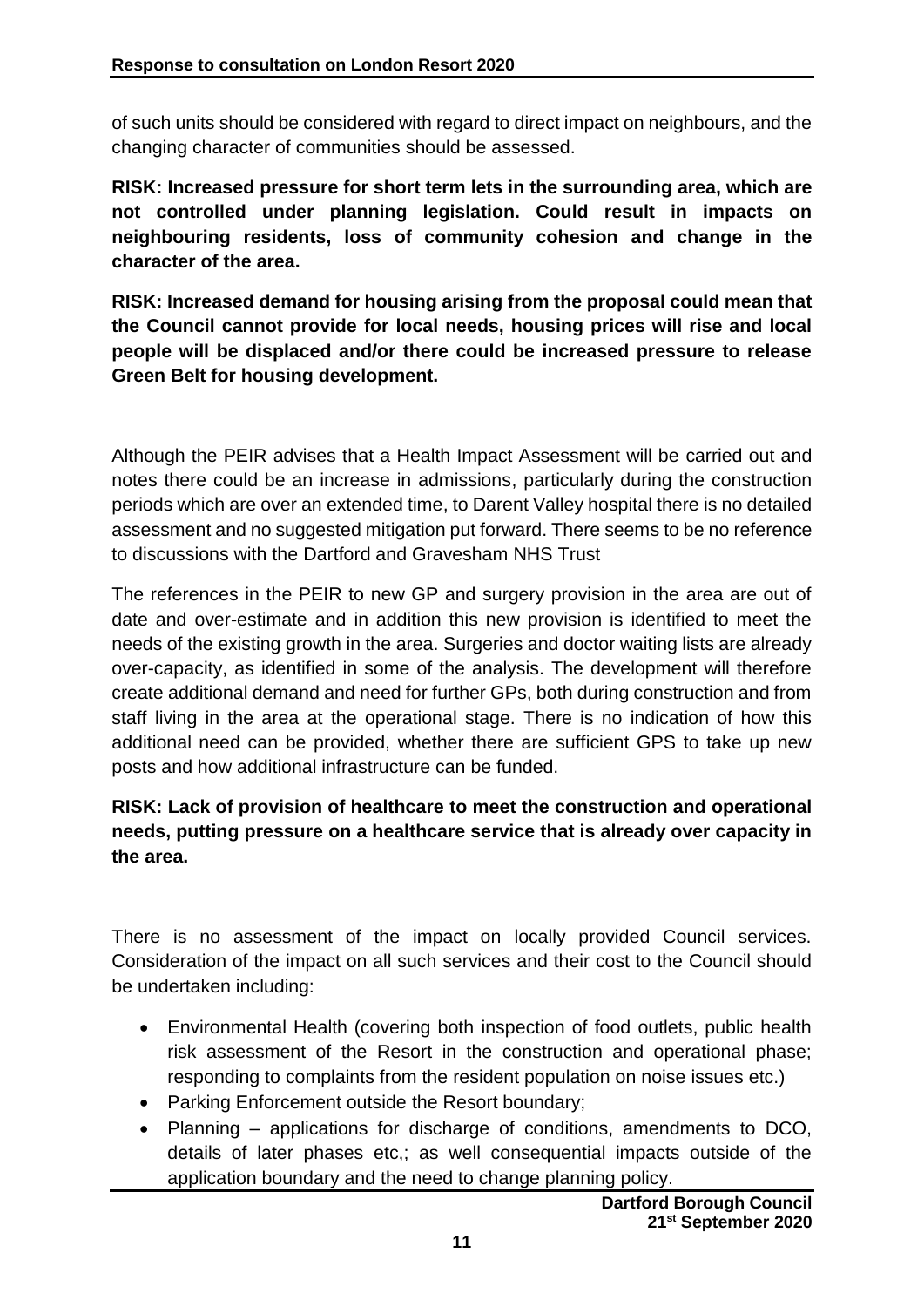of such units should be considered with regard to direct impact on neighbours, and the changing character of communities should be assessed.

**RISK: Increased pressure for short term lets in the surrounding area, which are not controlled under planning legislation. Could result in impacts on neighbouring residents, loss of community cohesion and change in the character of the area.**

**RISK: Increased demand for housing arising from the proposal could mean that the Council cannot provide for local needs, housing prices will rise and local people will be displaced and/or there could be increased pressure to release Green Belt for housing development.**

Although the PEIR advises that a Health Impact Assessment will be carried out and notes there could be an increase in admissions, particularly during the construction periods which are over an extended time, to Darent Valley hospital there is no detailed assessment and no suggested mitigation put forward. There seems to be no reference to discussions with the Dartford and Gravesham NHS Trust

The references in the PEIR to new GP and surgery provision in the area are out of date and over-estimate and in addition this new provision is identified to meet the needs of the existing growth in the area. Surgeries and doctor waiting lists are already over-capacity, as identified in some of the analysis. The development will therefore create additional demand and need for further GPs, both during construction and from staff living in the area at the operational stage. There is no indication of how this additional need can be provided, whether there are sufficient GPS to take up new posts and how additional infrastructure can be funded.

# **RISK: Lack of provision of healthcare to meet the construction and operational needs, putting pressure on a healthcare service that is already over capacity in the area.**

There is no assessment of the impact on locally provided Council services. Consideration of the impact on all such services and their cost to the Council should be undertaken including:

- Environmental Health (covering both inspection of food outlets, public health risk assessment of the Resort in the construction and operational phase; responding to complaints from the resident population on noise issues etc.)
- Parking Enforcement outside the Resort boundary;
- Planning applications for discharge of conditions, amendments to DCO, details of later phases etc,; as well consequential impacts outside of the application boundary and the need to change planning policy.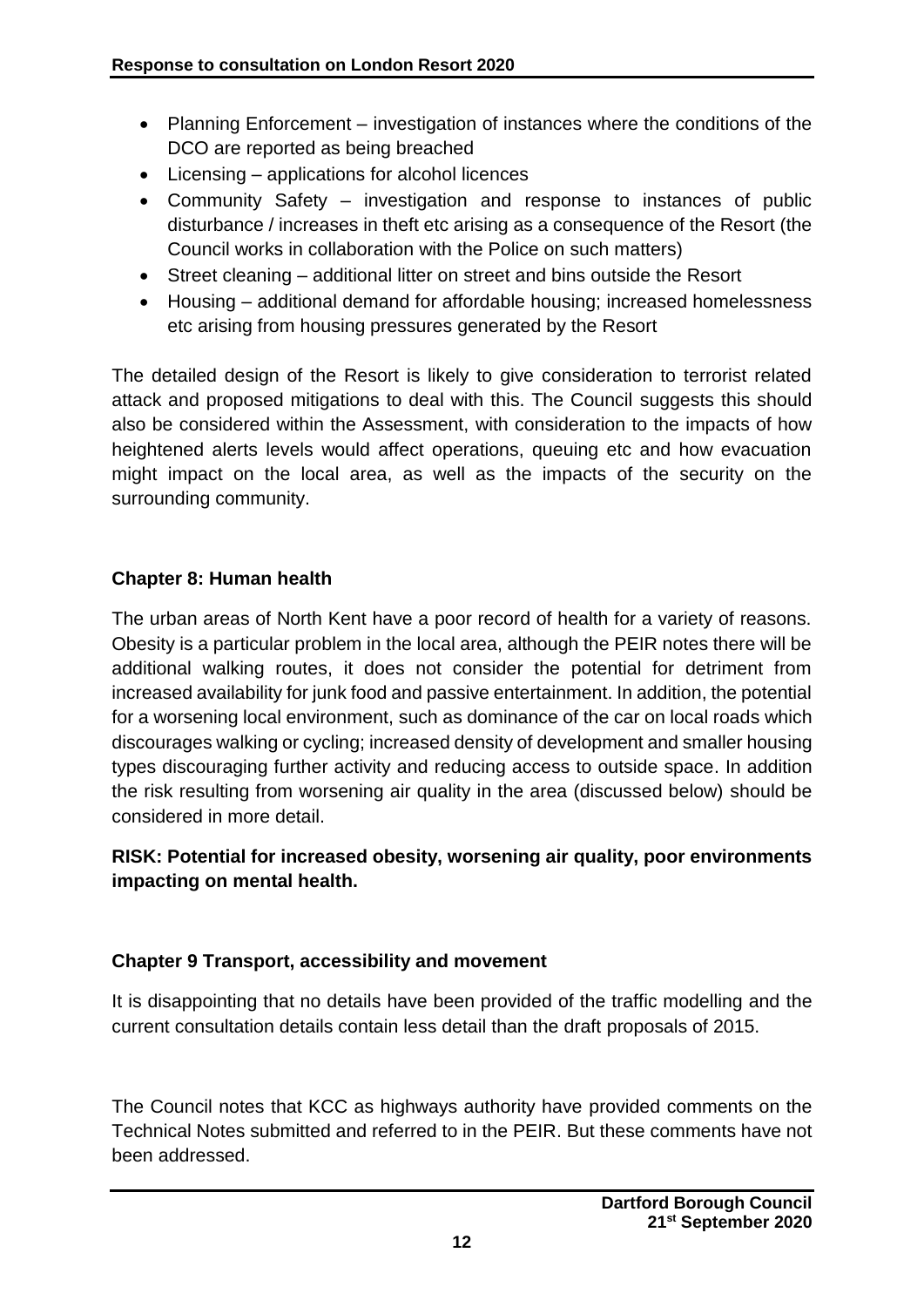- Planning Enforcement investigation of instances where the conditions of the DCO are reported as being breached
- Licensing applications for alcohol licences
- Community Safety investigation and response to instances of public disturbance / increases in theft etc arising as a consequence of the Resort (the Council works in collaboration with the Police on such matters)
- Street cleaning additional litter on street and bins outside the Resort
- Housing additional demand for affordable housing; increased homelessness etc arising from housing pressures generated by the Resort

The detailed design of the Resort is likely to give consideration to terrorist related attack and proposed mitigations to deal with this. The Council suggests this should also be considered within the Assessment, with consideration to the impacts of how heightened alerts levels would affect operations, queuing etc and how evacuation might impact on the local area, as well as the impacts of the security on the surrounding community.

# **Chapter 8: Human health**

The urban areas of North Kent have a poor record of health for a variety of reasons. Obesity is a particular problem in the local area, although the PEIR notes there will be additional walking routes, it does not consider the potential for detriment from increased availability for junk food and passive entertainment. In addition, the potential for a worsening local environment, such as dominance of the car on local roads which discourages walking or cycling; increased density of development and smaller housing types discouraging further activity and reducing access to outside space. In addition the risk resulting from worsening air quality in the area (discussed below) should be considered in more detail.

# **RISK: Potential for increased obesity, worsening air quality, poor environments impacting on mental health.**

# **Chapter 9 Transport, accessibility and movement**

It is disappointing that no details have been provided of the traffic modelling and the current consultation details contain less detail than the draft proposals of 2015.

The Council notes that KCC as highways authority have provided comments on the Technical Notes submitted and referred to in the PEIR. But these comments have not been addressed.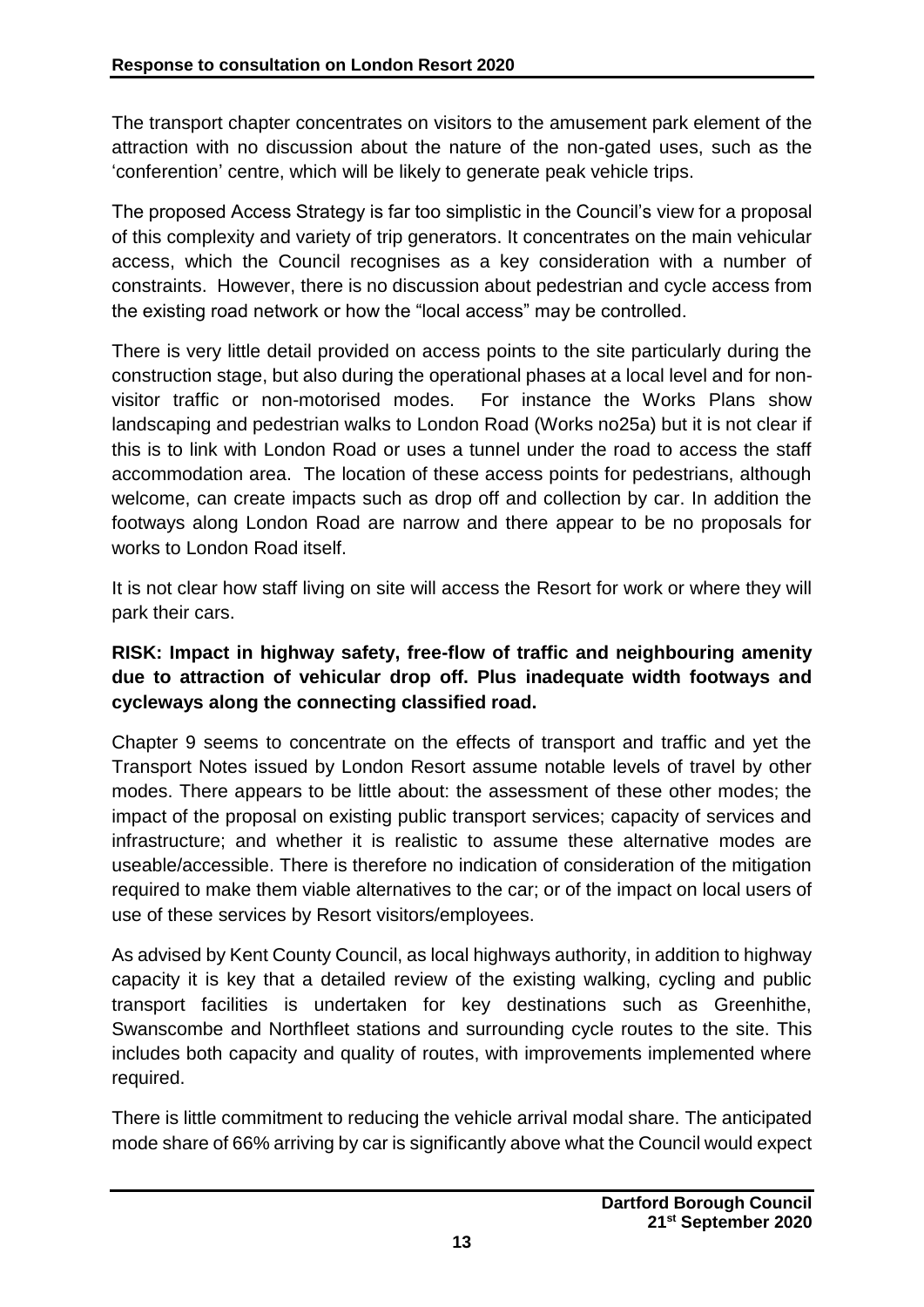The transport chapter concentrates on visitors to the amusement park element of the attraction with no discussion about the nature of the non-gated uses, such as the 'conferention' centre, which will be likely to generate peak vehicle trips.

The proposed Access Strategy is far too simplistic in the Council's view for a proposal of this complexity and variety of trip generators. It concentrates on the main vehicular access, which the Council recognises as a key consideration with a number of constraints. However, there is no discussion about pedestrian and cycle access from the existing road network or how the "local access" may be controlled.

There is very little detail provided on access points to the site particularly during the construction stage, but also during the operational phases at a local level and for nonvisitor traffic or non-motorised modes. For instance the Works Plans show landscaping and pedestrian walks to London Road (Works no25a) but it is not clear if this is to link with London Road or uses a tunnel under the road to access the staff accommodation area. The location of these access points for pedestrians, although welcome, can create impacts such as drop off and collection by car. In addition the footways along London Road are narrow and there appear to be no proposals for works to London Road itself.

It is not clear how staff living on site will access the Resort for work or where they will park their cars.

# **RISK: Impact in highway safety, free-flow of traffic and neighbouring amenity due to attraction of vehicular drop off. Plus inadequate width footways and cycleways along the connecting classified road.**

Chapter 9 seems to concentrate on the effects of transport and traffic and yet the Transport Notes issued by London Resort assume notable levels of travel by other modes. There appears to be little about: the assessment of these other modes; the impact of the proposal on existing public transport services; capacity of services and infrastructure; and whether it is realistic to assume these alternative modes are useable/accessible. There is therefore no indication of consideration of the mitigation required to make them viable alternatives to the car; or of the impact on local users of use of these services by Resort visitors/employees.

As advised by Kent County Council, as local highways authority, in addition to highway capacity it is key that a detailed review of the existing walking, cycling and public transport facilities is undertaken for key destinations such as Greenhithe, Swanscombe and Northfleet stations and surrounding cycle routes to the site. This includes both capacity and quality of routes, with improvements implemented where required.

There is little commitment to reducing the vehicle arrival modal share. The anticipated mode share of 66% arriving by car is significantly above what the Council would expect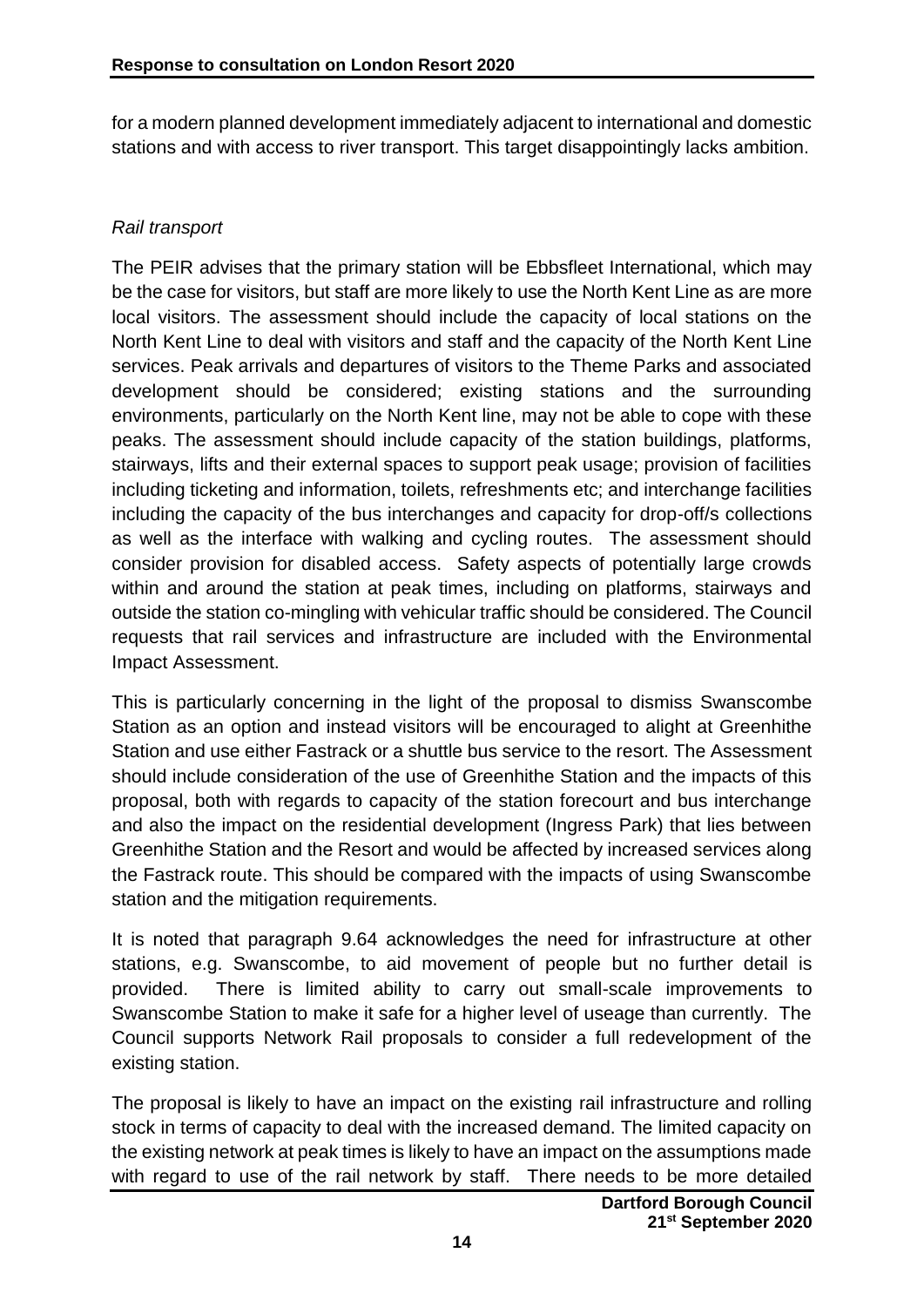for a modern planned development immediately adjacent to international and domestic stations and with access to river transport. This target disappointingly lacks ambition.

### *Rail transport*

The PEIR advises that the primary station will be Ebbsfleet International, which may be the case for visitors, but staff are more likely to use the North Kent Line as are more local visitors. The assessment should include the capacity of local stations on the North Kent Line to deal with visitors and staff and the capacity of the North Kent Line services. Peak arrivals and departures of visitors to the Theme Parks and associated development should be considered; existing stations and the surrounding environments, particularly on the North Kent line, may not be able to cope with these peaks. The assessment should include capacity of the station buildings, platforms, stairways, lifts and their external spaces to support peak usage; provision of facilities including ticketing and information, toilets, refreshments etc; and interchange facilities including the capacity of the bus interchanges and capacity for drop-off/s collections as well as the interface with walking and cycling routes. The assessment should consider provision for disabled access. Safety aspects of potentially large crowds within and around the station at peak times, including on platforms, stairways and outside the station co-mingling with vehicular traffic should be considered. The Council requests that rail services and infrastructure are included with the Environmental Impact Assessment.

This is particularly concerning in the light of the proposal to dismiss Swanscombe Station as an option and instead visitors will be encouraged to alight at Greenhithe Station and use either Fastrack or a shuttle bus service to the resort. The Assessment should include consideration of the use of Greenhithe Station and the impacts of this proposal, both with regards to capacity of the station forecourt and bus interchange and also the impact on the residential development (Ingress Park) that lies between Greenhithe Station and the Resort and would be affected by increased services along the Fastrack route. This should be compared with the impacts of using Swanscombe station and the mitigation requirements.

It is noted that paragraph 9.64 acknowledges the need for infrastructure at other stations, e.g. Swanscombe, to aid movement of people but no further detail is provided. There is limited ability to carry out small-scale improvements to Swanscombe Station to make it safe for a higher level of useage than currently. The Council supports Network Rail proposals to consider a full redevelopment of the existing station.

The proposal is likely to have an impact on the existing rail infrastructure and rolling stock in terms of capacity to deal with the increased demand. The limited capacity on the existing network at peak times is likely to have an impact on the assumptions made with regard to use of the rail network by staff. There needs to be more detailed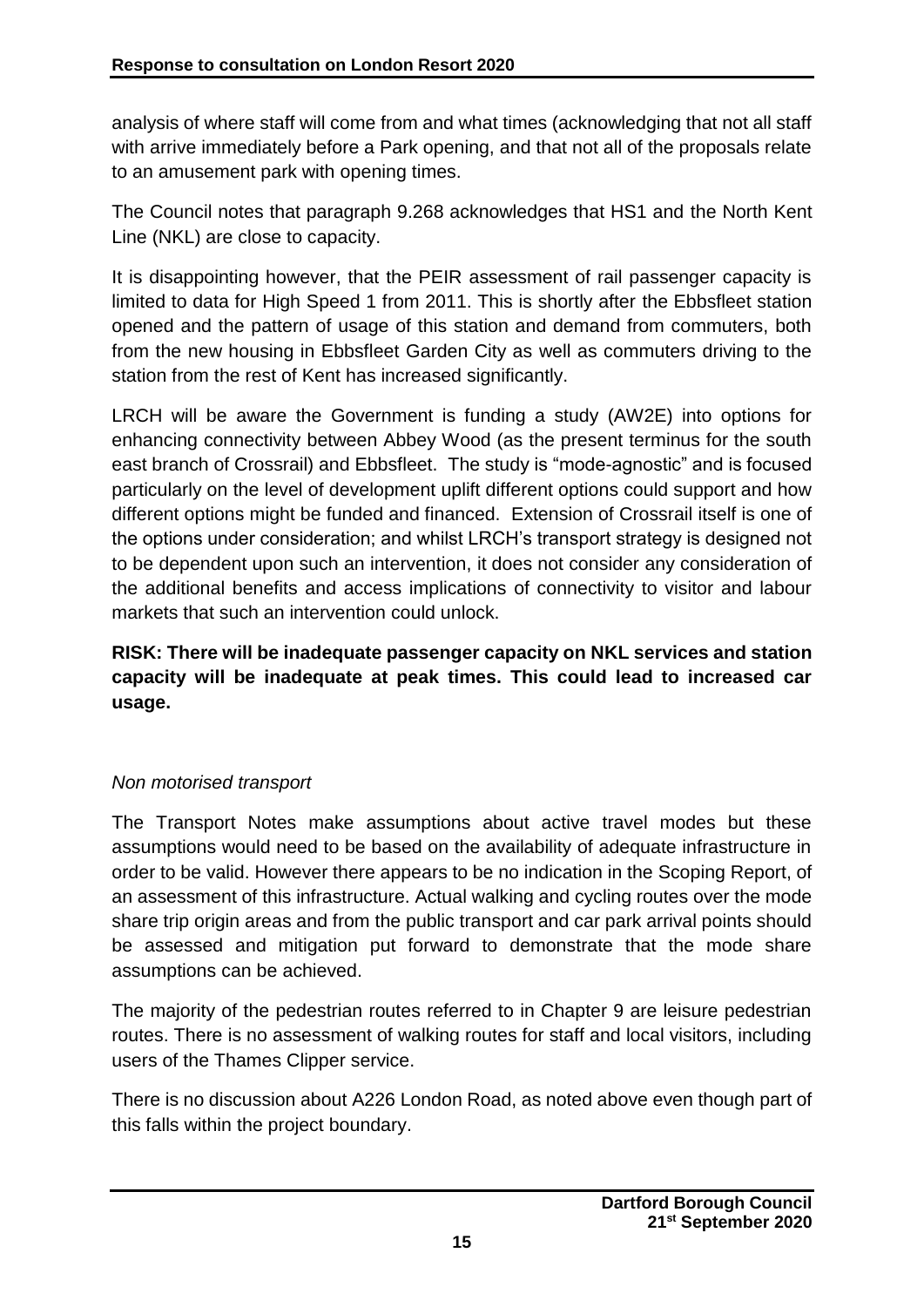analysis of where staff will come from and what times (acknowledging that not all staff with arrive immediately before a Park opening, and that not all of the proposals relate to an amusement park with opening times.

The Council notes that paragraph 9.268 acknowledges that HS1 and the North Kent Line (NKL) are close to capacity.

It is disappointing however, that the PEIR assessment of rail passenger capacity is limited to data for High Speed 1 from 2011. This is shortly after the Ebbsfleet station opened and the pattern of usage of this station and demand from commuters, both from the new housing in Ebbsfleet Garden City as well as commuters driving to the station from the rest of Kent has increased significantly.

LRCH will be aware the Government is funding a study (AW2E) into options for enhancing connectivity between Abbey Wood (as the present terminus for the south east branch of Crossrail) and Ebbsfleet. The study is "mode-agnostic" and is focused particularly on the level of development uplift different options could support and how different options might be funded and financed. Extension of Crossrail itself is one of the options under consideration; and whilst LRCH's transport strategy is designed not to be dependent upon such an intervention, it does not consider any consideration of the additional benefits and access implications of connectivity to visitor and labour markets that such an intervention could unlock.

**RISK: There will be inadequate passenger capacity on NKL services and station capacity will be inadequate at peak times. This could lead to increased car usage.**

# *Non motorised transport*

The Transport Notes make assumptions about active travel modes but these assumptions would need to be based on the availability of adequate infrastructure in order to be valid. However there appears to be no indication in the Scoping Report, of an assessment of this infrastructure. Actual walking and cycling routes over the mode share trip origin areas and from the public transport and car park arrival points should be assessed and mitigation put forward to demonstrate that the mode share assumptions can be achieved.

The majority of the pedestrian routes referred to in Chapter 9 are leisure pedestrian routes. There is no assessment of walking routes for staff and local visitors, including users of the Thames Clipper service.

There is no discussion about A226 London Road, as noted above even though part of this falls within the project boundary.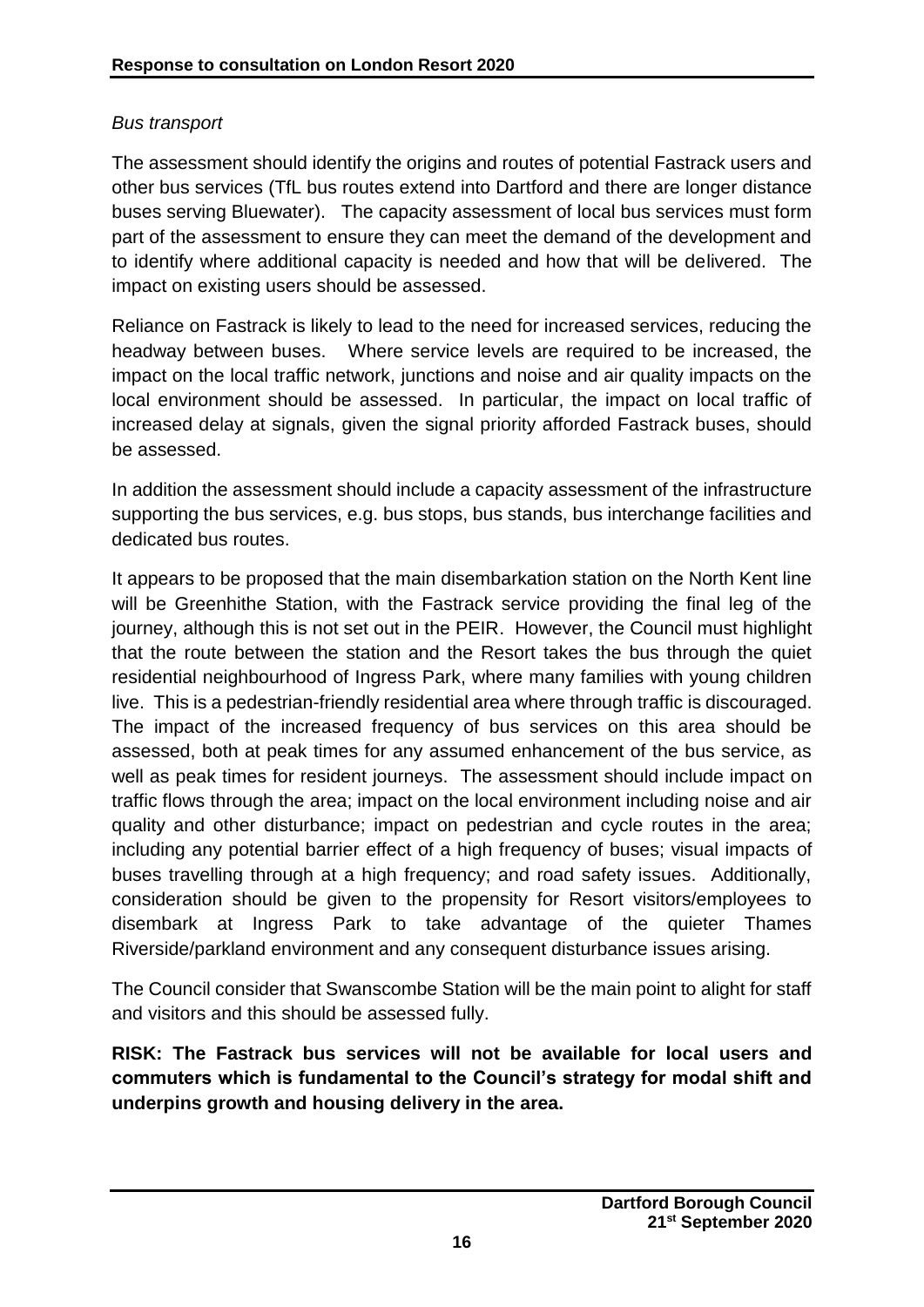# *Bus transport*

The assessment should identify the origins and routes of potential Fastrack users and other bus services (TfL bus routes extend into Dartford and there are longer distance buses serving Bluewater). The capacity assessment of local bus services must form part of the assessment to ensure they can meet the demand of the development and to identify where additional capacity is needed and how that will be delivered. The impact on existing users should be assessed.

Reliance on Fastrack is likely to lead to the need for increased services, reducing the headway between buses. Where service levels are required to be increased, the impact on the local traffic network, junctions and noise and air quality impacts on the local environment should be assessed. In particular, the impact on local traffic of increased delay at signals, given the signal priority afforded Fastrack buses, should be assessed.

In addition the assessment should include a capacity assessment of the infrastructure supporting the bus services, e.g. bus stops, bus stands, bus interchange facilities and dedicated bus routes.

It appears to be proposed that the main disembarkation station on the North Kent line will be Greenhithe Station, with the Fastrack service providing the final leg of the journey, although this is not set out in the PEIR. However, the Council must highlight that the route between the station and the Resort takes the bus through the quiet residential neighbourhood of Ingress Park, where many families with young children live. This is a pedestrian-friendly residential area where through traffic is discouraged. The impact of the increased frequency of bus services on this area should be assessed, both at peak times for any assumed enhancement of the bus service, as well as peak times for resident journeys. The assessment should include impact on traffic flows through the area; impact on the local environment including noise and air quality and other disturbance; impact on pedestrian and cycle routes in the area; including any potential barrier effect of a high frequency of buses; visual impacts of buses travelling through at a high frequency; and road safety issues. Additionally, consideration should be given to the propensity for Resort visitors/employees to disembark at Ingress Park to take advantage of the quieter Thames Riverside/parkland environment and any consequent disturbance issues arising.

The Council consider that Swanscombe Station will be the main point to alight for staff and visitors and this should be assessed fully.

**RISK: The Fastrack bus services will not be available for local users and commuters which is fundamental to the Council's strategy for modal shift and underpins growth and housing delivery in the area.**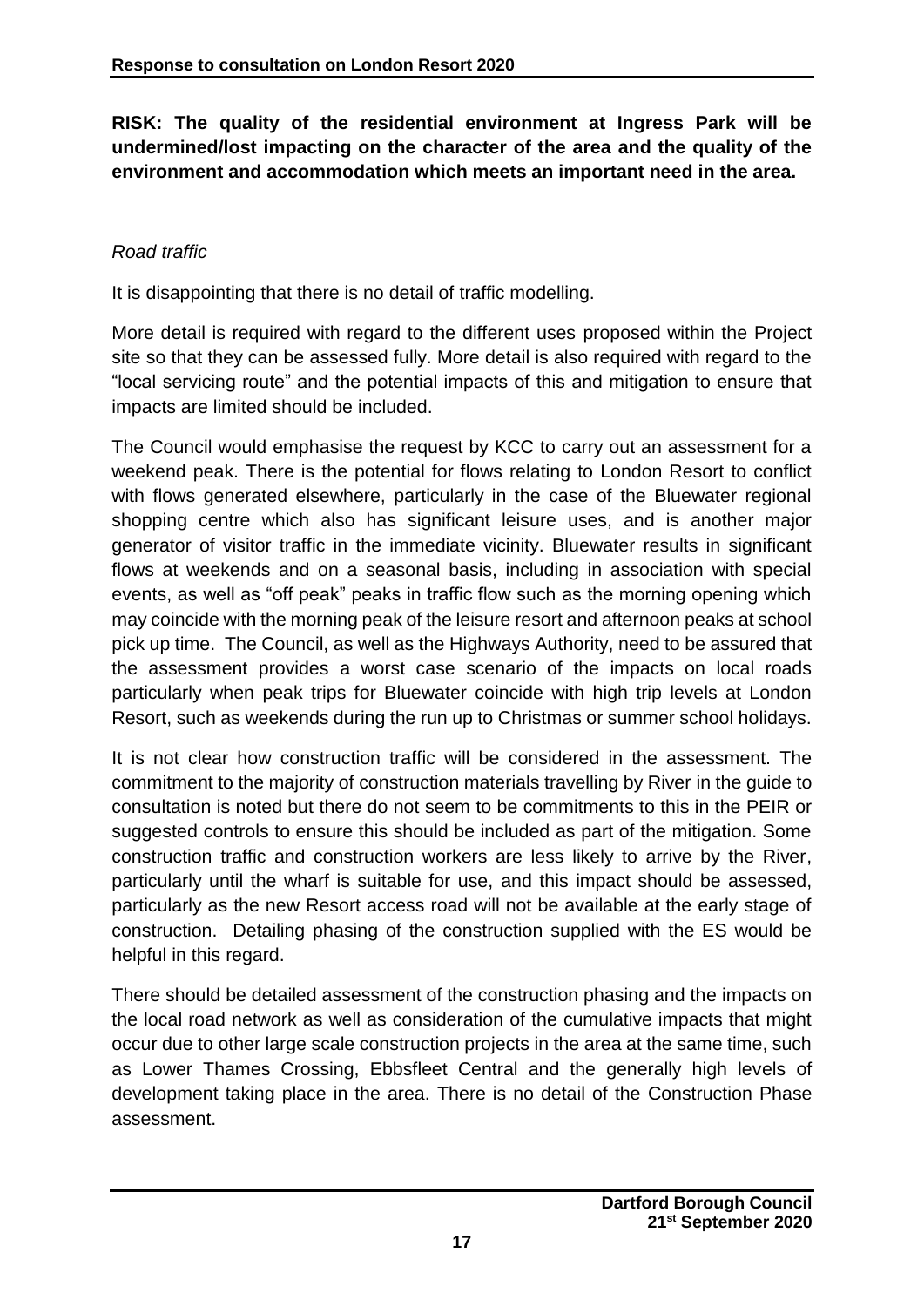**RISK: The quality of the residential environment at Ingress Park will be undermined/lost impacting on the character of the area and the quality of the environment and accommodation which meets an important need in the area.**

# *Road traffic*

It is disappointing that there is no detail of traffic modelling.

More detail is required with regard to the different uses proposed within the Project site so that they can be assessed fully. More detail is also required with regard to the "local servicing route" and the potential impacts of this and mitigation to ensure that impacts are limited should be included.

The Council would emphasise the request by KCC to carry out an assessment for a weekend peak. There is the potential for flows relating to London Resort to conflict with flows generated elsewhere, particularly in the case of the Bluewater regional shopping centre which also has significant leisure uses, and is another major generator of visitor traffic in the immediate vicinity. Bluewater results in significant flows at weekends and on a seasonal basis, including in association with special events, as well as "off peak" peaks in traffic flow such as the morning opening which may coincide with the morning peak of the leisure resort and afternoon peaks at school pick up time. The Council, as well as the Highways Authority, need to be assured that the assessment provides a worst case scenario of the impacts on local roads particularly when peak trips for Bluewater coincide with high trip levels at London Resort, such as weekends during the run up to Christmas or summer school holidays.

It is not clear how construction traffic will be considered in the assessment. The commitment to the majority of construction materials travelling by River in the guide to consultation is noted but there do not seem to be commitments to this in the PEIR or suggested controls to ensure this should be included as part of the mitigation. Some construction traffic and construction workers are less likely to arrive by the River, particularly until the wharf is suitable for use, and this impact should be assessed, particularly as the new Resort access road will not be available at the early stage of construction. Detailing phasing of the construction supplied with the ES would be helpful in this regard.

There should be detailed assessment of the construction phasing and the impacts on the local road network as well as consideration of the cumulative impacts that might occur due to other large scale construction projects in the area at the same time, such as Lower Thames Crossing, Ebbsfleet Central and the generally high levels of development taking place in the area. There is no detail of the Construction Phase assessment.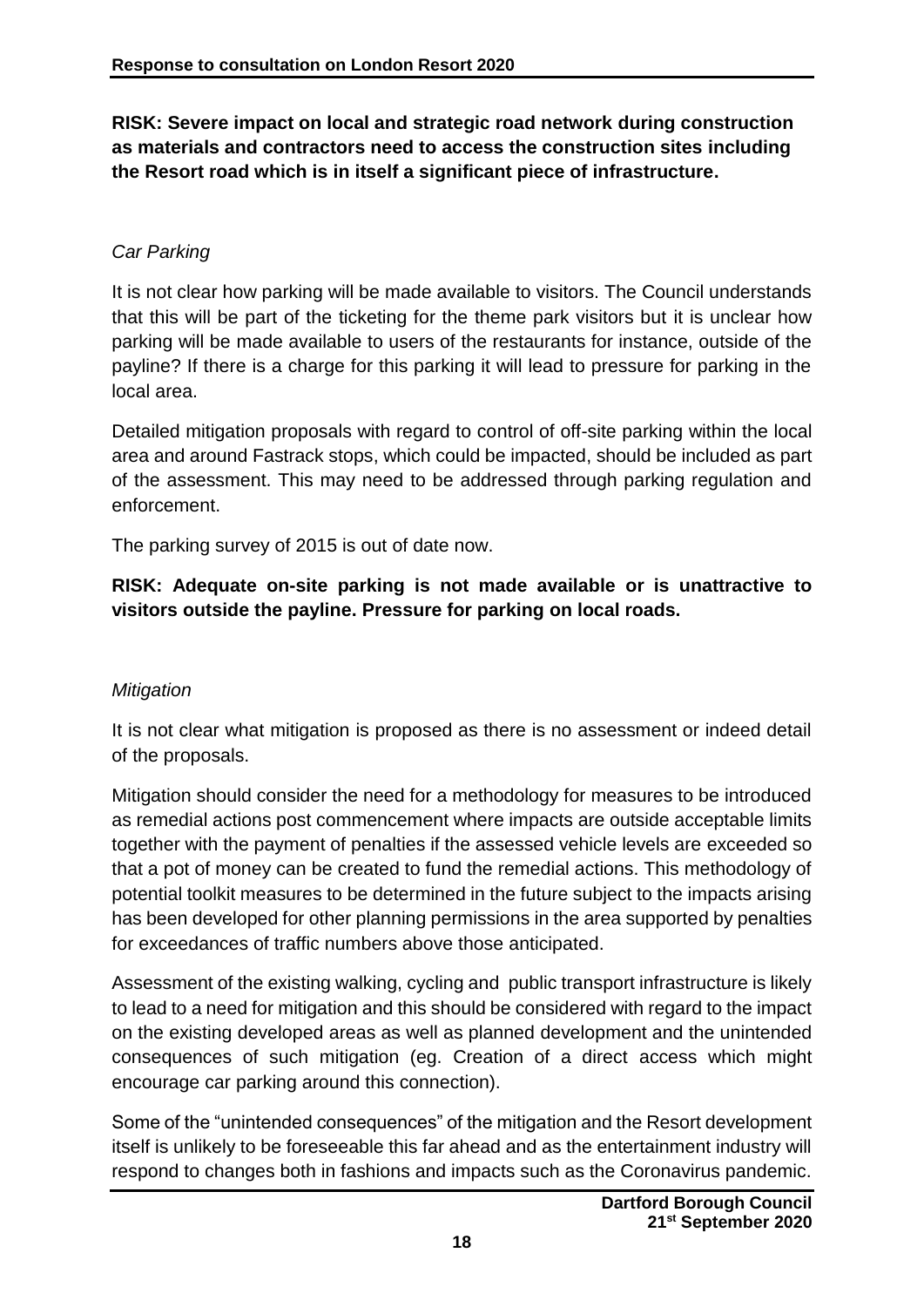**RISK: Severe impact on local and strategic road network during construction as materials and contractors need to access the construction sites including the Resort road which is in itself a significant piece of infrastructure.**

# *Car Parking*

It is not clear how parking will be made available to visitors. The Council understands that this will be part of the ticketing for the theme park visitors but it is unclear how parking will be made available to users of the restaurants for instance, outside of the payline? If there is a charge for this parking it will lead to pressure for parking in the local area.

Detailed mitigation proposals with regard to control of off-site parking within the local area and around Fastrack stops, which could be impacted, should be included as part of the assessment. This may need to be addressed through parking regulation and enforcement.

The parking survey of 2015 is out of date now.

# **RISK: Adequate on-site parking is not made available or is unattractive to visitors outside the payline. Pressure for parking on local roads.**

# *Mitigation*

It is not clear what mitigation is proposed as there is no assessment or indeed detail of the proposals.

Mitigation should consider the need for a methodology for measures to be introduced as remedial actions post commencement where impacts are outside acceptable limits together with the payment of penalties if the assessed vehicle levels are exceeded so that a pot of money can be created to fund the remedial actions. This methodology of potential toolkit measures to be determined in the future subject to the impacts arising has been developed for other planning permissions in the area supported by penalties for exceedances of traffic numbers above those anticipated.

Assessment of the existing walking, cycling and public transport infrastructure is likely to lead to a need for mitigation and this should be considered with regard to the impact on the existing developed areas as well as planned development and the unintended consequences of such mitigation (eg. Creation of a direct access which might encourage car parking around this connection).

Some of the "unintended consequences" of the mitigation and the Resort development itself is unlikely to be foreseeable this far ahead and as the entertainment industry will respond to changes both in fashions and impacts such as the Coronavirus pandemic.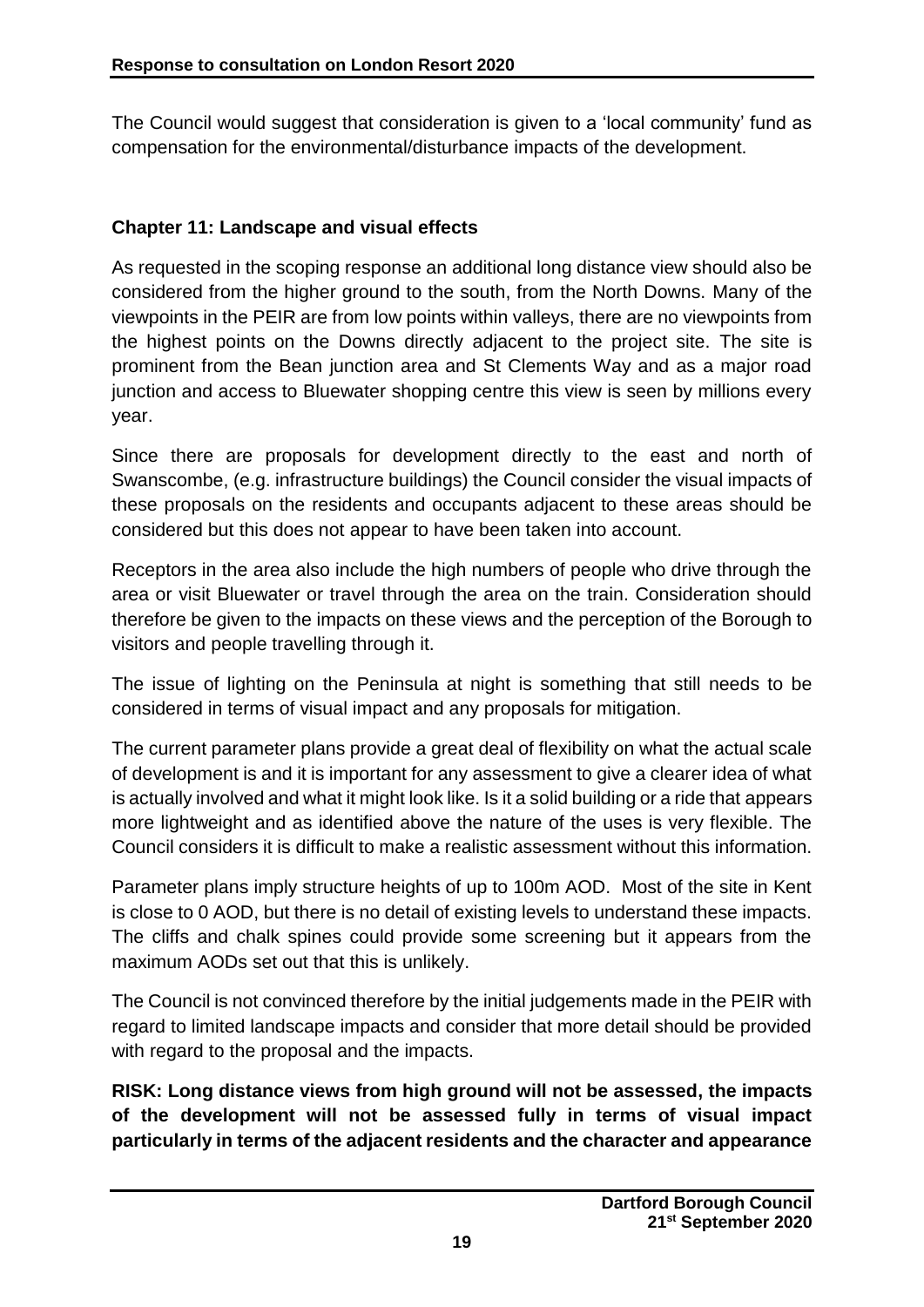The Council would suggest that consideration is given to a 'local community' fund as compensation for the environmental/disturbance impacts of the development.

# **Chapter 11: Landscape and visual effects**

As requested in the scoping response an additional long distance view should also be considered from the higher ground to the south, from the North Downs. Many of the viewpoints in the PEIR are from low points within valleys, there are no viewpoints from the highest points on the Downs directly adjacent to the project site. The site is prominent from the Bean junction area and St Clements Way and as a major road junction and access to Bluewater shopping centre this view is seen by millions every year.

Since there are proposals for development directly to the east and north of Swanscombe, (e.g. infrastructure buildings) the Council consider the visual impacts of these proposals on the residents and occupants adjacent to these areas should be considered but this does not appear to have been taken into account.

Receptors in the area also include the high numbers of people who drive through the area or visit Bluewater or travel through the area on the train. Consideration should therefore be given to the impacts on these views and the perception of the Borough to visitors and people travelling through it.

The issue of lighting on the Peninsula at night is something that still needs to be considered in terms of visual impact and any proposals for mitigation.

The current parameter plans provide a great deal of flexibility on what the actual scale of development is and it is important for any assessment to give a clearer idea of what is actually involved and what it might look like. Is it a solid building or a ride that appears more lightweight and as identified above the nature of the uses is very flexible. The Council considers it is difficult to make a realistic assessment without this information.

Parameter plans imply structure heights of up to 100m AOD. Most of the site in Kent is close to 0 AOD, but there is no detail of existing levels to understand these impacts. The cliffs and chalk spines could provide some screening but it appears from the maximum AODs set out that this is unlikely.

The Council is not convinced therefore by the initial judgements made in the PEIR with regard to limited landscape impacts and consider that more detail should be provided with regard to the proposal and the impacts.

**RISK: Long distance views from high ground will not be assessed, the impacts of the development will not be assessed fully in terms of visual impact particularly in terms of the adjacent residents and the character and appearance**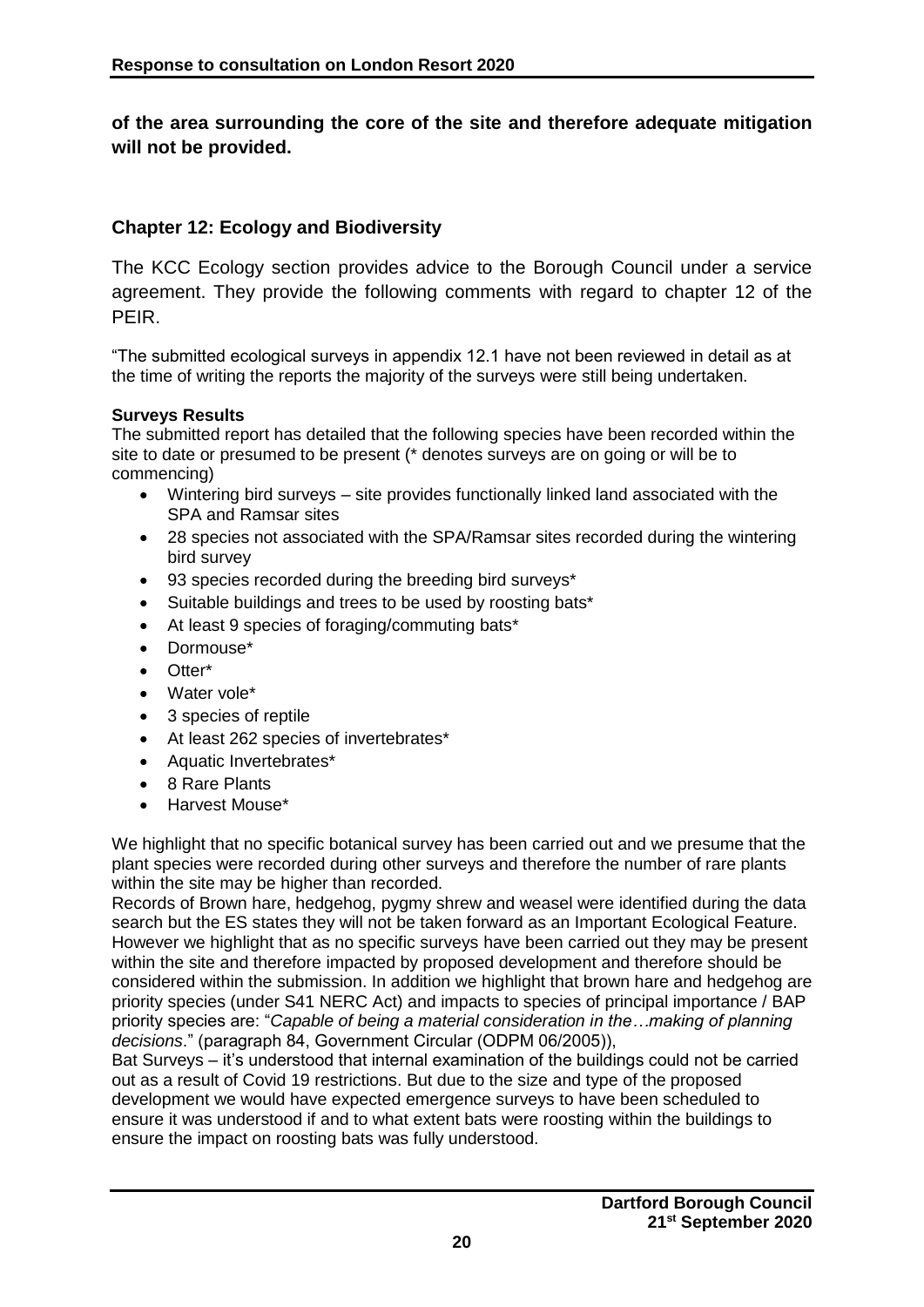**of the area surrounding the core of the site and therefore adequate mitigation will not be provided.** 

#### **Chapter 12: Ecology and Biodiversity**

The KCC Ecology section provides advice to the Borough Council under a service agreement. They provide the following comments with regard to chapter 12 of the PEIR.

"The submitted ecological surveys in appendix 12.1 have not been reviewed in detail as at the time of writing the reports the majority of the surveys were still being undertaken.

#### **Surveys Results**

The submitted report has detailed that the following species have been recorded within the site to date or presumed to be present (\* denotes surveys are on going or will be to commencing)

- Wintering bird surveys site provides functionally linked land associated with the SPA and Ramsar sites
- 28 species not associated with the SPA/Ramsar sites recorded during the wintering bird survey
- 93 species recorded during the breeding bird surveys\*
- Suitable buildings and trees to be used by roosting bats\*
- At least 9 species of foraging/commuting bats\*
- Dormouse\*
- Otter\*
- Water vole\*
- 3 species of reptile
- At least 262 species of invertebrates\*
- Aquatic Invertebrates\*
- 8 Rare Plants
- Harvest Mouse\*

We highlight that no specific botanical survey has been carried out and we presume that the plant species were recorded during other surveys and therefore the number of rare plants within the site may be higher than recorded.

Records of Brown hare, hedgehog, pygmy shrew and weasel were identified during the data search but the ES states they will not be taken forward as an Important Ecological Feature. However we highlight that as no specific surveys have been carried out they may be present within the site and therefore impacted by proposed development and therefore should be considered within the submission. In addition we highlight that brown hare and hedgehog are priority species (under S41 NERC Act) and impacts to species of principal importance / BAP priority species are: "*Capable of being a material consideration in the…making of planning decisions*." (paragraph 84, Government Circular (ODPM 06/2005)),

Bat Surveys – it's understood that internal examination of the buildings could not be carried out as a result of Covid 19 restrictions. But due to the size and type of the proposed development we would have expected emergence surveys to have been scheduled to ensure it was understood if and to what extent bats were roosting within the buildings to ensure the impact on roosting bats was fully understood.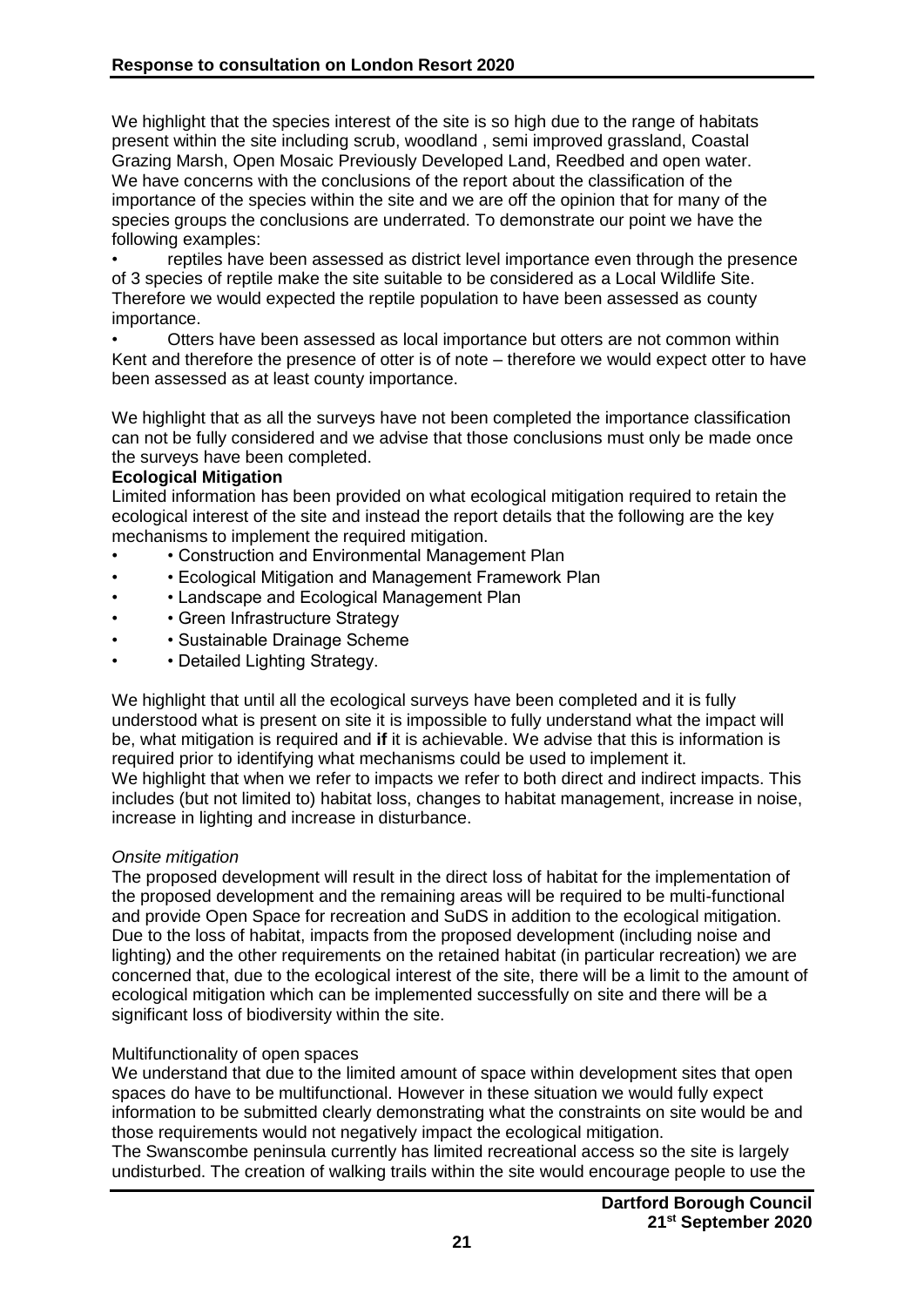We highlight that the species interest of the site is so high due to the range of habitats present within the site including scrub, woodland , semi improved grassland, Coastal Grazing Marsh, Open Mosaic Previously Developed Land, Reedbed and open water. We have concerns with the conclusions of the report about the classification of the importance of the species within the site and we are off the opinion that for many of the species groups the conclusions are underrated. To demonstrate our point we have the following examples:

• reptiles have been assessed as district level importance even through the presence of 3 species of reptile make the site suitable to be considered as a Local Wildlife Site. Therefore we would expected the reptile population to have been assessed as county importance.

• Otters have been assessed as local importance but otters are not common within Kent and therefore the presence of otter is of note – therefore we would expect otter to have been assessed as at least county importance.

We highlight that as all the surveys have not been completed the importance classification can not be fully considered and we advise that those conclusions must only be made once the surveys have been completed.

#### **Ecological Mitigation**

Limited information has been provided on what ecological mitigation required to retain the ecological interest of the site and instead the report details that the following are the key mechanisms to implement the required mitigation.

- • Construction and Environmental Management Plan
- • Ecological Mitigation and Management Framework Plan
- • Landscape and Ecological Management Plan
- Green Infrastructure Strategy
- • Sustainable Drainage Scheme
- Detailed Lighting Strategy.

We highlight that until all the ecological surveys have been completed and it is fully understood what is present on site it is impossible to fully understand what the impact will be, what mitigation is required and **if** it is achievable. We advise that this is information is required prior to identifying what mechanisms could be used to implement it. We highlight that when we refer to impacts we refer to both direct and indirect impacts. This includes (but not limited to) habitat loss, changes to habitat management, increase in noise, increase in lighting and increase in disturbance.

#### *Onsite mitigation*

The proposed development will result in the direct loss of habitat for the implementation of the proposed development and the remaining areas will be required to be multi-functional and provide Open Space for recreation and SuDS in addition to the ecological mitigation. Due to the loss of habitat, impacts from the proposed development (including noise and lighting) and the other requirements on the retained habitat (in particular recreation) we are concerned that, due to the ecological interest of the site, there will be a limit to the amount of ecological mitigation which can be implemented successfully on site and there will be a significant loss of biodiversity within the site.

#### Multifunctionality of open spaces

We understand that due to the limited amount of space within development sites that open spaces do have to be multifunctional. However in these situation we would fully expect information to be submitted clearly demonstrating what the constraints on site would be and those requirements would not negatively impact the ecological mitigation.

The Swanscombe peninsula currently has limited recreational access so the site is largely undisturbed. The creation of walking trails within the site would encourage people to use the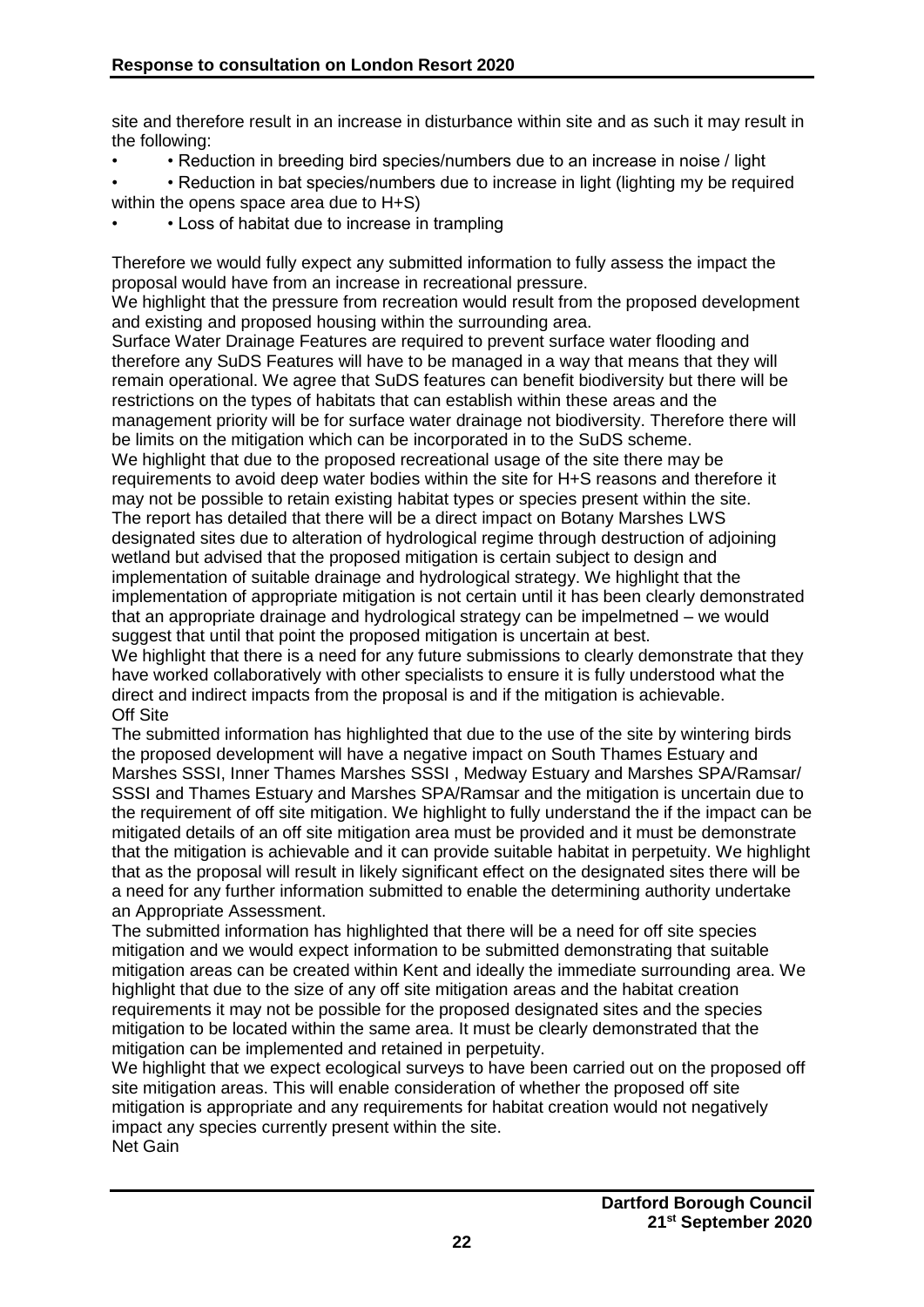site and therefore result in an increase in disturbance within site and as such it may result in the following:

- • Reduction in breeding bird species/numbers due to an increase in noise / light
- Reduction in bat species/numbers due to increase in light (lighting my be required within the opens space area due to H+S)
- Loss of habitat due to increase in trampling

Therefore we would fully expect any submitted information to fully assess the impact the proposal would have from an increase in recreational pressure.

We highlight that the pressure from recreation would result from the proposed development and existing and proposed housing within the surrounding area.

Surface Water Drainage Features are required to prevent surface water flooding and therefore any SuDS Features will have to be managed in a way that means that they will remain operational. We agree that SuDS features can benefit biodiversity but there will be restrictions on the types of habitats that can establish within these areas and the management priority will be for surface water drainage not biodiversity. Therefore there will be limits on the mitigation which can be incorporated in to the SuDS scheme.

We highlight that due to the proposed recreational usage of the site there may be requirements to avoid deep water bodies within the site for H+S reasons and therefore it may not be possible to retain existing habitat types or species present within the site. The report has detailed that there will be a direct impact on Botany Marshes LWS designated sites due to alteration of hydrological regime through destruction of adjoining wetland but advised that the proposed mitigation is certain subject to design and implementation of suitable drainage and hydrological strategy. We highlight that the implementation of appropriate mitigation is not certain until it has been clearly demonstrated that an appropriate drainage and hydrological strategy can be impelmetned – we would suggest that until that point the proposed mitigation is uncertain at best.

We highlight that there is a need for any future submissions to clearly demonstrate that they have worked collaboratively with other specialists to ensure it is fully understood what the direct and indirect impacts from the proposal is and if the mitigation is achievable. Off Site

The submitted information has highlighted that due to the use of the site by wintering birds the proposed development will have a negative impact on South Thames Estuary and Marshes SSSI, Inner Thames Marshes SSSI , Medway Estuary and Marshes SPA/Ramsar/ SSSI and Thames Estuary and Marshes SPA/Ramsar and the mitigation is uncertain due to the requirement of off site mitigation. We highlight to fully understand the if the impact can be mitigated details of an off site mitigation area must be provided and it must be demonstrate that the mitigation is achievable and it can provide suitable habitat in perpetuity. We highlight that as the proposal will result in likely significant effect on the designated sites there will be a need for any further information submitted to enable the determining authority undertake an Appropriate Assessment.

The submitted information has highlighted that there will be a need for off site species mitigation and we would expect information to be submitted demonstrating that suitable mitigation areas can be created within Kent and ideally the immediate surrounding area. We highlight that due to the size of any off site mitigation areas and the habitat creation requirements it may not be possible for the proposed designated sites and the species mitigation to be located within the same area. It must be clearly demonstrated that the mitigation can be implemented and retained in perpetuity.

We highlight that we expect ecological surveys to have been carried out on the proposed off site mitigation areas. This will enable consideration of whether the proposed off site mitigation is appropriate and any requirements for habitat creation would not negatively impact any species currently present within the site. Net Gain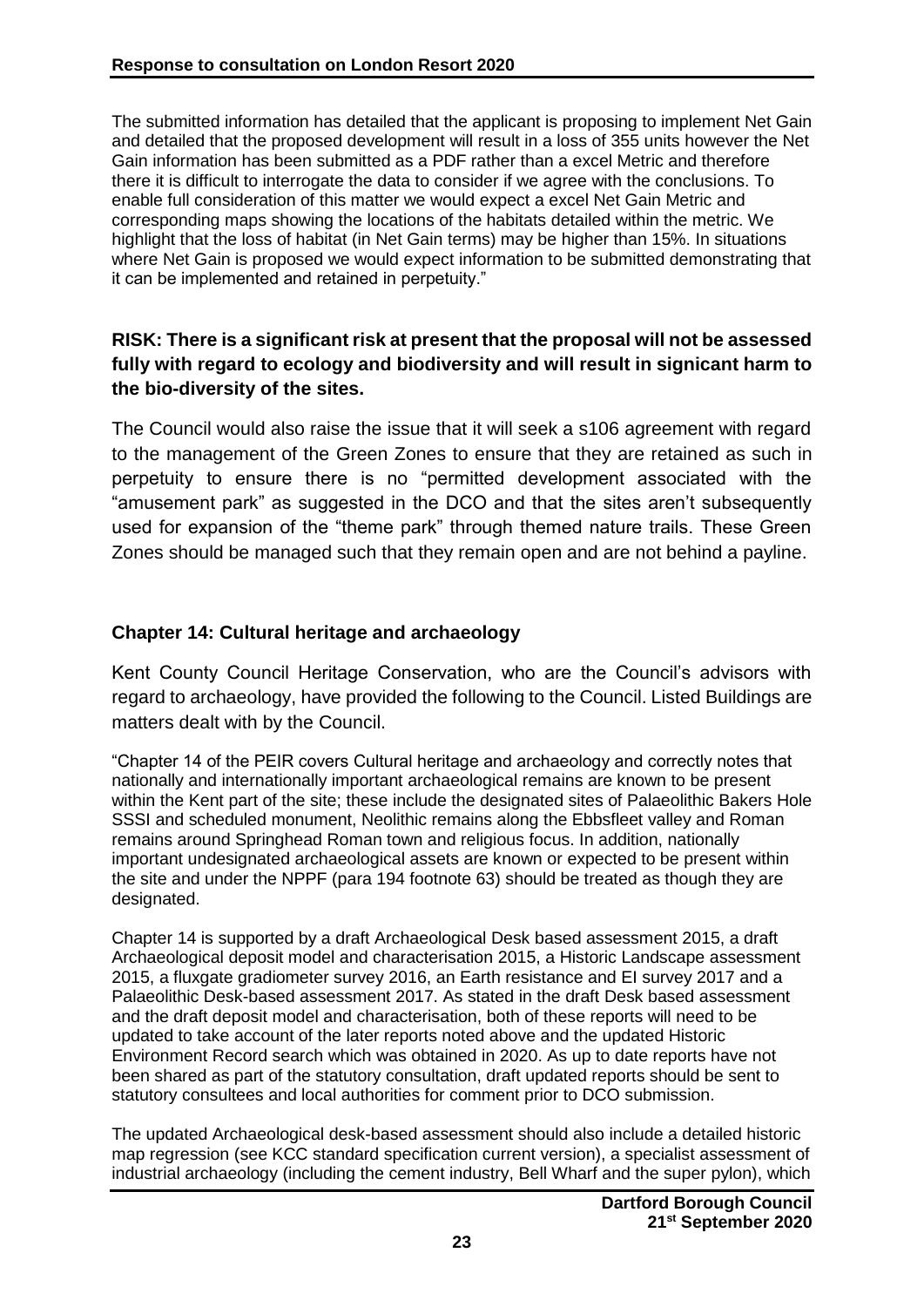The submitted information has detailed that the applicant is proposing to implement Net Gain and detailed that the proposed development will result in a loss of 355 units however the Net Gain information has been submitted as a PDF rather than a excel Metric and therefore there it is difficult to interrogate the data to consider if we agree with the conclusions. To enable full consideration of this matter we would expect a excel Net Gain Metric and corresponding maps showing the locations of the habitats detailed within the metric. We highlight that the loss of habitat (in Net Gain terms) may be higher than 15%. In situations where Net Gain is proposed we would expect information to be submitted demonstrating that it can be implemented and retained in perpetuity."

# **RISK: There is a significant risk at present that the proposal will not be assessed fully with regard to ecology and biodiversity and will result in signicant harm to the bio-diversity of the sites.**

The Council would also raise the issue that it will seek a s106 agreement with regard to the management of the Green Zones to ensure that they are retained as such in perpetuity to ensure there is no "permitted development associated with the "amusement park" as suggested in the DCO and that the sites aren't subsequently used for expansion of the "theme park" through themed nature trails. These Green Zones should be managed such that they remain open and are not behind a payline.

#### **Chapter 14: Cultural heritage and archaeology**

Kent County Council Heritage Conservation, who are the Council's advisors with regard to archaeology, have provided the following to the Council. Listed Buildings are matters dealt with by the Council.

"Chapter 14 of the PEIR covers Cultural heritage and archaeology and correctly notes that nationally and internationally important archaeological remains are known to be present within the Kent part of the site; these include the designated sites of Palaeolithic Bakers Hole SSSI and scheduled monument, Neolithic remains along the Ebbsfleet valley and Roman remains around Springhead Roman town and religious focus. In addition, nationally important undesignated archaeological assets are known or expected to be present within the site and under the NPPF (para 194 footnote 63) should be treated as though they are designated.

Chapter 14 is supported by a draft Archaeological Desk based assessment 2015, a draft Archaeological deposit model and characterisation 2015, a Historic Landscape assessment 2015, a fluxgate gradiometer survey 2016, an Earth resistance and EI survey 2017 and a Palaeolithic Desk-based assessment 2017. As stated in the draft Desk based assessment and the draft deposit model and characterisation, both of these reports will need to be updated to take account of the later reports noted above and the updated Historic Environment Record search which was obtained in 2020. As up to date reports have not been shared as part of the statutory consultation, draft updated reports should be sent to statutory consultees and local authorities for comment prior to DCO submission.

The updated Archaeological desk-based assessment should also include a detailed historic map regression (see KCC standard specification current version), a specialist assessment of industrial archaeology (including the cement industry, Bell Wharf and the super pylon), which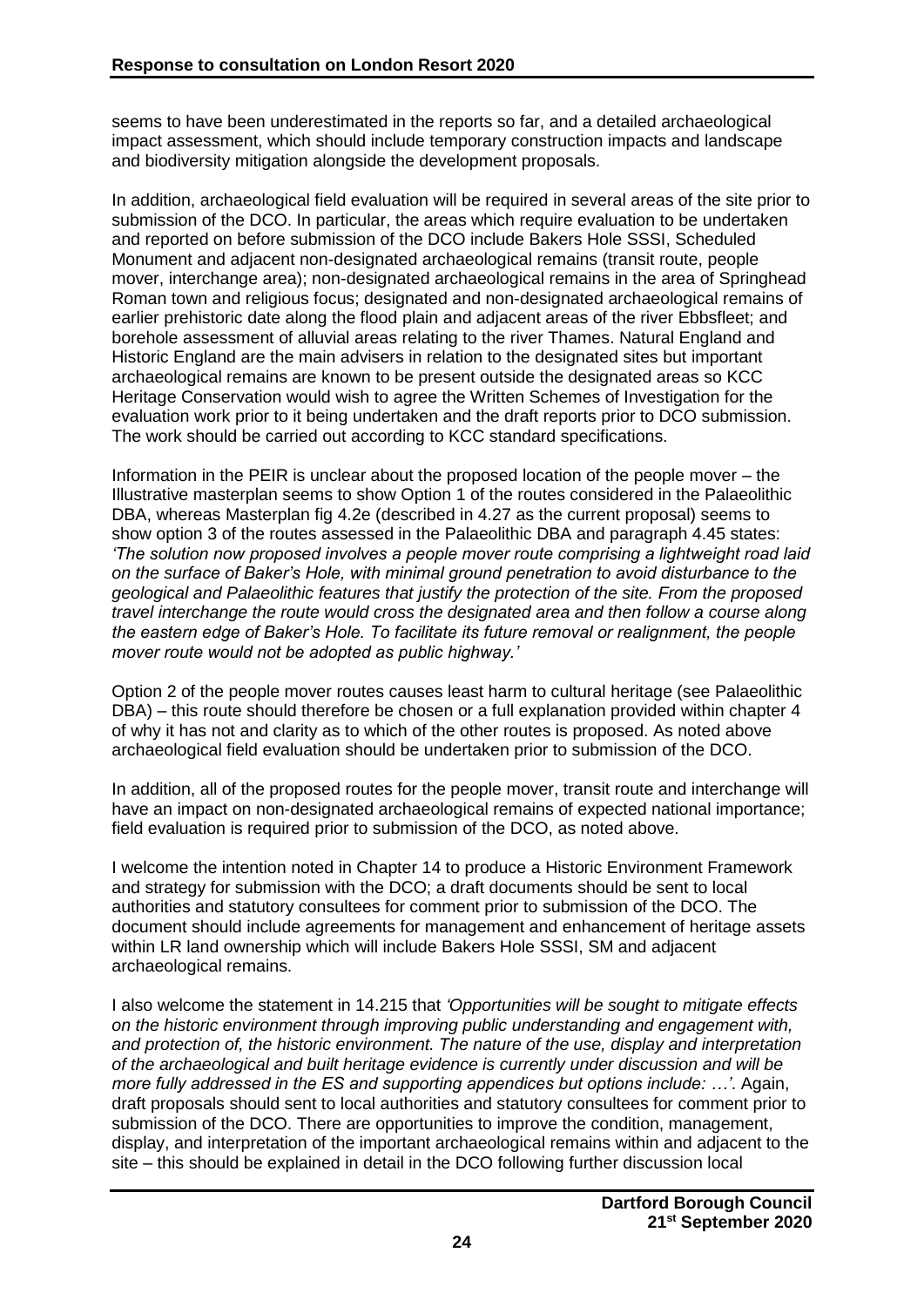seems to have been underestimated in the reports so far, and a detailed archaeological impact assessment, which should include temporary construction impacts and landscape and biodiversity mitigation alongside the development proposals.

In addition, archaeological field evaluation will be required in several areas of the site prior to submission of the DCO. In particular, the areas which require evaluation to be undertaken and reported on before submission of the DCO include Bakers Hole SSSI, Scheduled Monument and adjacent non-designated archaeological remains (transit route, people mover, interchange area); non-designated archaeological remains in the area of Springhead Roman town and religious focus; designated and non-designated archaeological remains of earlier prehistoric date along the flood plain and adjacent areas of the river Ebbsfleet; and borehole assessment of alluvial areas relating to the river Thames. Natural England and Historic England are the main advisers in relation to the designated sites but important archaeological remains are known to be present outside the designated areas so KCC Heritage Conservation would wish to agree the Written Schemes of Investigation for the evaluation work prior to it being undertaken and the draft reports prior to DCO submission. The work should be carried out according to KCC standard specifications.

Information in the PEIR is unclear about the proposed location of the people mover – the Illustrative masterplan seems to show Option 1 of the routes considered in the Palaeolithic DBA, whereas Masterplan fig 4.2e (described in 4.27 as the current proposal) seems to show option 3 of the routes assessed in the Palaeolithic DBA and paragraph 4.45 states: *'The solution now proposed involves a people mover route comprising a lightweight road laid on the surface of Baker's Hole, with minimal ground penetration to avoid disturbance to the geological and Palaeolithic features that justify the protection of the site. From the proposed travel interchange the route would cross the designated area and then follow a course along the eastern edge of Baker's Hole. To facilitate its future removal or realignment, the people mover route would not be adopted as public highway.'*

Option 2 of the people mover routes causes least harm to cultural heritage (see Palaeolithic DBA) – this route should therefore be chosen or a full explanation provided within chapter 4 of why it has not and clarity as to which of the other routes is proposed. As noted above archaeological field evaluation should be undertaken prior to submission of the DCO.

In addition, all of the proposed routes for the people mover, transit route and interchange will have an impact on non-designated archaeological remains of expected national importance; field evaluation is required prior to submission of the DCO, as noted above.

I welcome the intention noted in Chapter 14 to produce a Historic Environment Framework and strategy for submission with the DCO; a draft documents should be sent to local authorities and statutory consultees for comment prior to submission of the DCO. The document should include agreements for management and enhancement of heritage assets within LR land ownership which will include Bakers Hole SSSI, SM and adjacent archaeological remains.

I also welcome the statement in 14.215 that *'Opportunities will be sought to mitigate effects on the historic environment through improving public understanding and engagement with, and protection of, the historic environment. The nature of the use, display and interpretation of the archaeological and built heritage evidence is currently under discussion and will be more fully addressed in the ES and supporting appendices but options include: …'*. Again, draft proposals should sent to local authorities and statutory consultees for comment prior to submission of the DCO. There are opportunities to improve the condition, management, display, and interpretation of the important archaeological remains within and adjacent to the site – this should be explained in detail in the DCO following further discussion local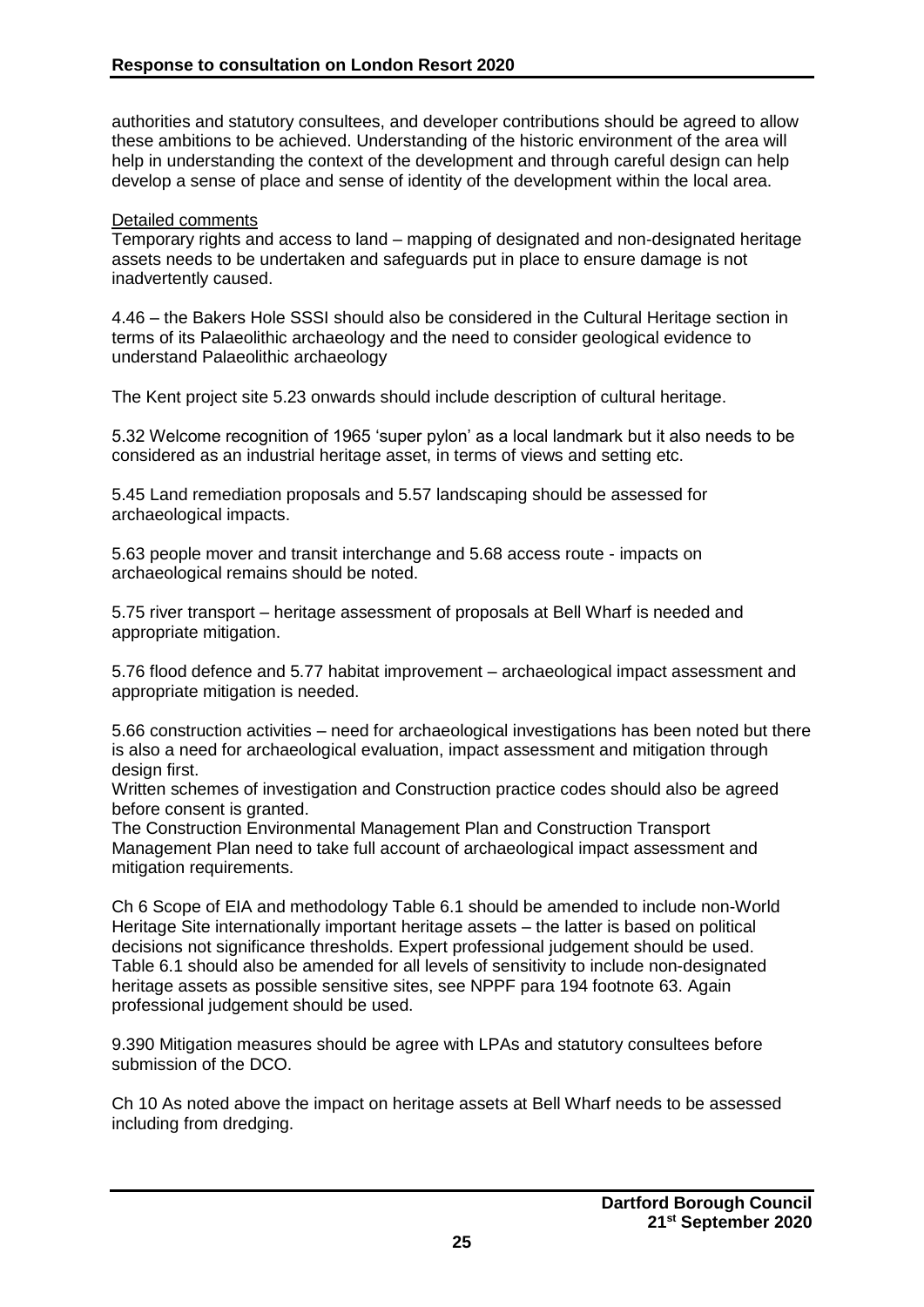authorities and statutory consultees, and developer contributions should be agreed to allow these ambitions to be achieved. Understanding of the historic environment of the area will help in understanding the context of the development and through careful design can help develop a sense of place and sense of identity of the development within the local area.

#### Detailed comments

Temporary rights and access to land – mapping of designated and non-designated heritage assets needs to be undertaken and safeguards put in place to ensure damage is not inadvertently caused.

4.46 – the Bakers Hole SSSI should also be considered in the Cultural Heritage section in terms of its Palaeolithic archaeology and the need to consider geological evidence to understand Palaeolithic archaeology

The Kent project site 5.23 onwards should include description of cultural heritage.

5.32 Welcome recognition of 1965 'super pylon' as a local landmark but it also needs to be considered as an industrial heritage asset, in terms of views and setting etc.

5.45 Land remediation proposals and 5.57 landscaping should be assessed for archaeological impacts.

5.63 people mover and transit interchange and 5.68 access route - impacts on archaeological remains should be noted.

5.75 river transport – heritage assessment of proposals at Bell Wharf is needed and appropriate mitigation.

5.76 flood defence and 5.77 habitat improvement – archaeological impact assessment and appropriate mitigation is needed.

5.66 construction activities – need for archaeological investigations has been noted but there is also a need for archaeological evaluation, impact assessment and mitigation through design first.

Written schemes of investigation and Construction practice codes should also be agreed before consent is granted.

The Construction Environmental Management Plan and Construction Transport Management Plan need to take full account of archaeological impact assessment and mitigation requirements.

Ch 6 Scope of EIA and methodology Table 6.1 should be amended to include non-World Heritage Site internationally important heritage assets – the latter is based on political decisions not significance thresholds. Expert professional judgement should be used. Table 6.1 should also be amended for all levels of sensitivity to include non-designated heritage assets as possible sensitive sites, see NPPF para 194 footnote 63. Again professional judgement should be used.

9.390 Mitigation measures should be agree with LPAs and statutory consultees before submission of the DCO.

Ch 10 As noted above the impact on heritage assets at Bell Wharf needs to be assessed including from dredging.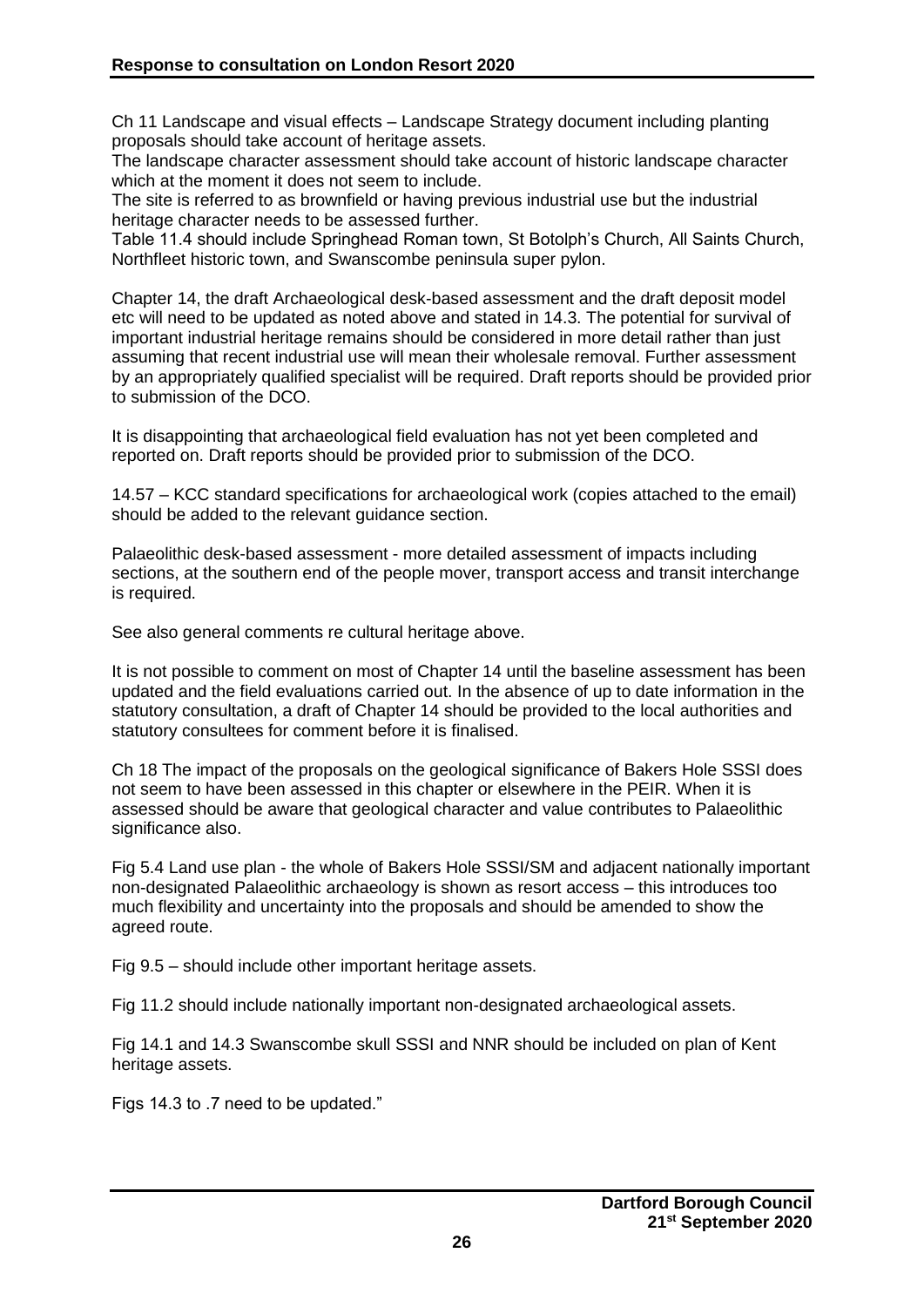Ch 11 Landscape and visual effects – Landscape Strategy document including planting proposals should take account of heritage assets.

The landscape character assessment should take account of historic landscape character which at the moment it does not seem to include.

The site is referred to as brownfield or having previous industrial use but the industrial heritage character needs to be assessed further.

Table 11.4 should include Springhead Roman town, St Botolph's Church, All Saints Church, Northfleet historic town, and Swanscombe peninsula super pylon.

Chapter 14, the draft Archaeological desk-based assessment and the draft deposit model etc will need to be updated as noted above and stated in 14.3. The potential for survival of important industrial heritage remains should be considered in more detail rather than just assuming that recent industrial use will mean their wholesale removal. Further assessment by an appropriately qualified specialist will be required. Draft reports should be provided prior to submission of the DCO.

It is disappointing that archaeological field evaluation has not yet been completed and reported on. Draft reports should be provided prior to submission of the DCO.

14.57 – KCC standard specifications for archaeological work (copies attached to the email) should be added to the relevant guidance section.

Palaeolithic desk-based assessment - more detailed assessment of impacts including sections, at the southern end of the people mover, transport access and transit interchange is required.

See also general comments re cultural heritage above.

It is not possible to comment on most of Chapter 14 until the baseline assessment has been updated and the field evaluations carried out. In the absence of up to date information in the statutory consultation, a draft of Chapter 14 should be provided to the local authorities and statutory consultees for comment before it is finalised.

Ch 18 The impact of the proposals on the geological significance of Bakers Hole SSSI does not seem to have been assessed in this chapter or elsewhere in the PEIR. When it is assessed should be aware that geological character and value contributes to Palaeolithic significance also.

Fig 5.4 Land use plan - the whole of Bakers Hole SSSI/SM and adjacent nationally important non-designated Palaeolithic archaeology is shown as resort access – this introduces too much flexibility and uncertainty into the proposals and should be amended to show the agreed route.

Fig 9.5 – should include other important heritage assets.

Fig 11.2 should include nationally important non-designated archaeological assets.

Fig 14.1 and 14.3 Swanscombe skull SSSI and NNR should be included on plan of Kent heritage assets.

Figs 14.3 to .7 need to be updated."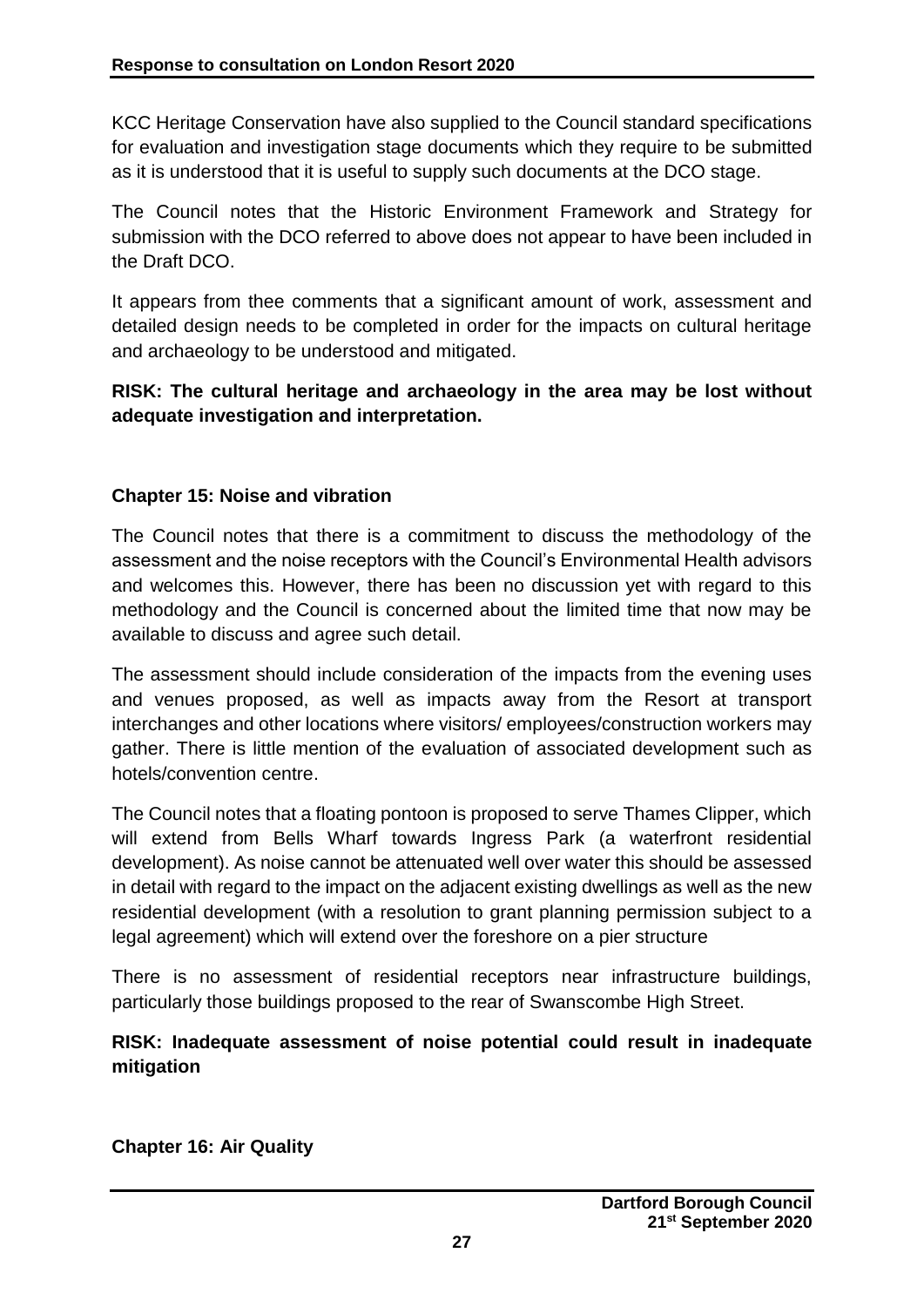KCC Heritage Conservation have also supplied to the Council standard specifications for evaluation and investigation stage documents which they require to be submitted as it is understood that it is useful to supply such documents at the DCO stage.

The Council notes that the Historic Environment Framework and Strategy for submission with the DCO referred to above does not appear to have been included in the Draft DCO.

It appears from thee comments that a significant amount of work, assessment and detailed design needs to be completed in order for the impacts on cultural heritage and archaeology to be understood and mitigated.

**RISK: The cultural heritage and archaeology in the area may be lost without adequate investigation and interpretation.**

#### **Chapter 15: Noise and vibration**

The Council notes that there is a commitment to discuss the methodology of the assessment and the noise receptors with the Council's Environmental Health advisors and welcomes this. However, there has been no discussion yet with regard to this methodology and the Council is concerned about the limited time that now may be available to discuss and agree such detail.

The assessment should include consideration of the impacts from the evening uses and venues proposed, as well as impacts away from the Resort at transport interchanges and other locations where visitors/ employees/construction workers may gather. There is little mention of the evaluation of associated development such as hotels/convention centre.

The Council notes that a floating pontoon is proposed to serve Thames Clipper, which will extend from Bells Wharf towards Ingress Park (a waterfront residential development). As noise cannot be attenuated well over water this should be assessed in detail with regard to the impact on the adjacent existing dwellings as well as the new residential development (with a resolution to grant planning permission subject to a legal agreement) which will extend over the foreshore on a pier structure

There is no assessment of residential receptors near infrastructure buildings, particularly those buildings proposed to the rear of Swanscombe High Street.

# **RISK: Inadequate assessment of noise potential could result in inadequate mitigation**

**Chapter 16: Air Quality**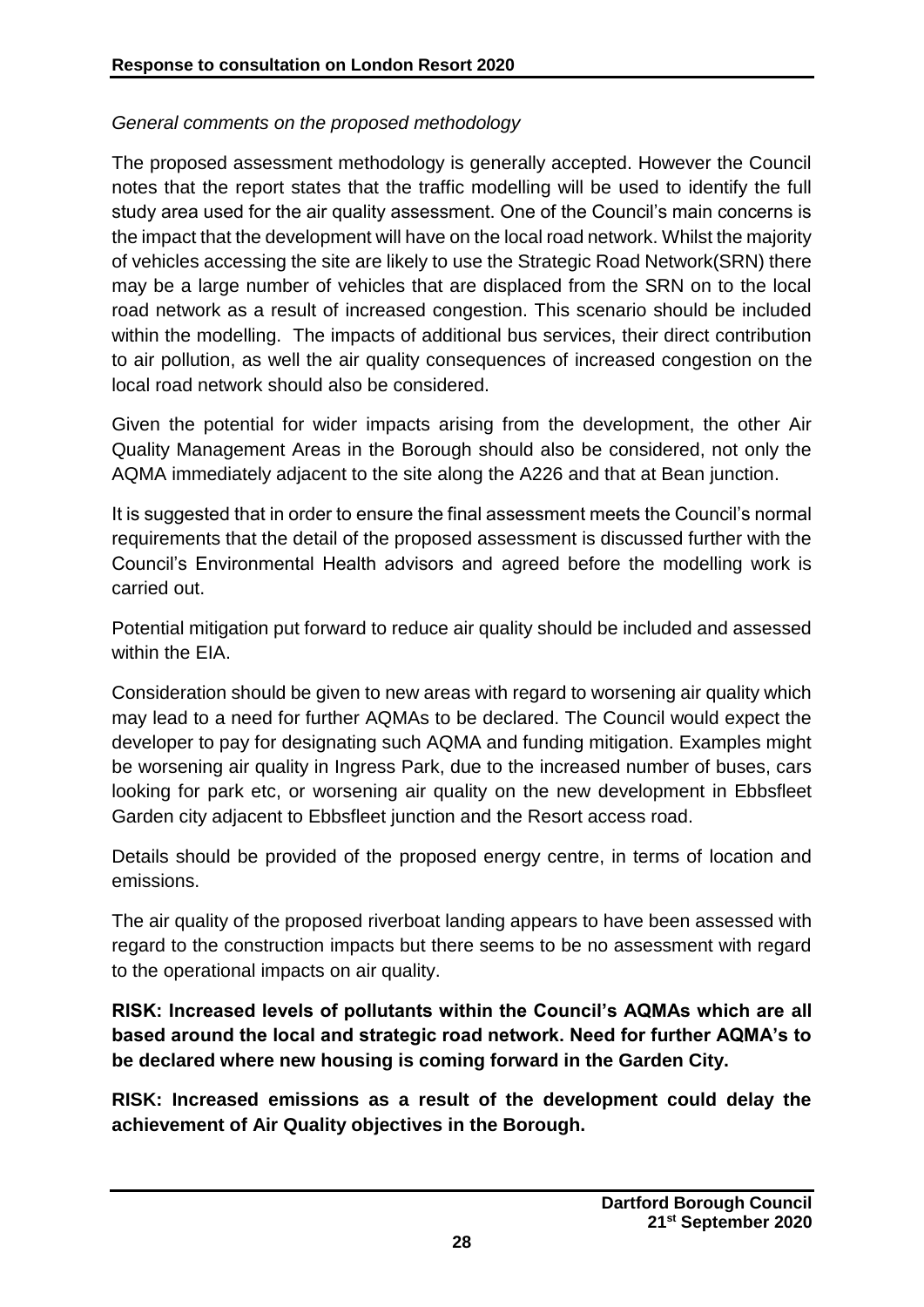# *General comments on the proposed methodology*

The proposed assessment methodology is generally accepted. However the Council notes that the report states that the traffic modelling will be used to identify the full study area used for the air quality assessment. One of the Council's main concerns is the impact that the development will have on the local road network. Whilst the majority of vehicles accessing the site are likely to use the Strategic Road Network(SRN) there may be a large number of vehicles that are displaced from the SRN on to the local road network as a result of increased congestion. This scenario should be included within the modelling. The impacts of additional bus services, their direct contribution to air pollution, as well the air quality consequences of increased congestion on the local road network should also be considered.

Given the potential for wider impacts arising from the development, the other Air Quality Management Areas in the Borough should also be considered, not only the AQMA immediately adjacent to the site along the A226 and that at Bean junction.

It is suggested that in order to ensure the final assessment meets the Council's normal requirements that the detail of the proposed assessment is discussed further with the Council's Environmental Health advisors and agreed before the modelling work is carried out.

Potential mitigation put forward to reduce air quality should be included and assessed within the EIA.

Consideration should be given to new areas with regard to worsening air quality which may lead to a need for further AQMAs to be declared. The Council would expect the developer to pay for designating such AQMA and funding mitigation. Examples might be worsening air quality in Ingress Park, due to the increased number of buses, cars looking for park etc, or worsening air quality on the new development in Ebbsfleet Garden city adjacent to Ebbsfleet junction and the Resort access road.

Details should be provided of the proposed energy centre, in terms of location and emissions.

The air quality of the proposed riverboat landing appears to have been assessed with regard to the construction impacts but there seems to be no assessment with regard to the operational impacts on air quality.

**RISK: Increased levels of pollutants within the Council's AQMAs which are all based around the local and strategic road network. Need for further AQMA's to be declared where new housing is coming forward in the Garden City.**

**RISK: Increased emissions as a result of the development could delay the achievement of Air Quality objectives in the Borough.**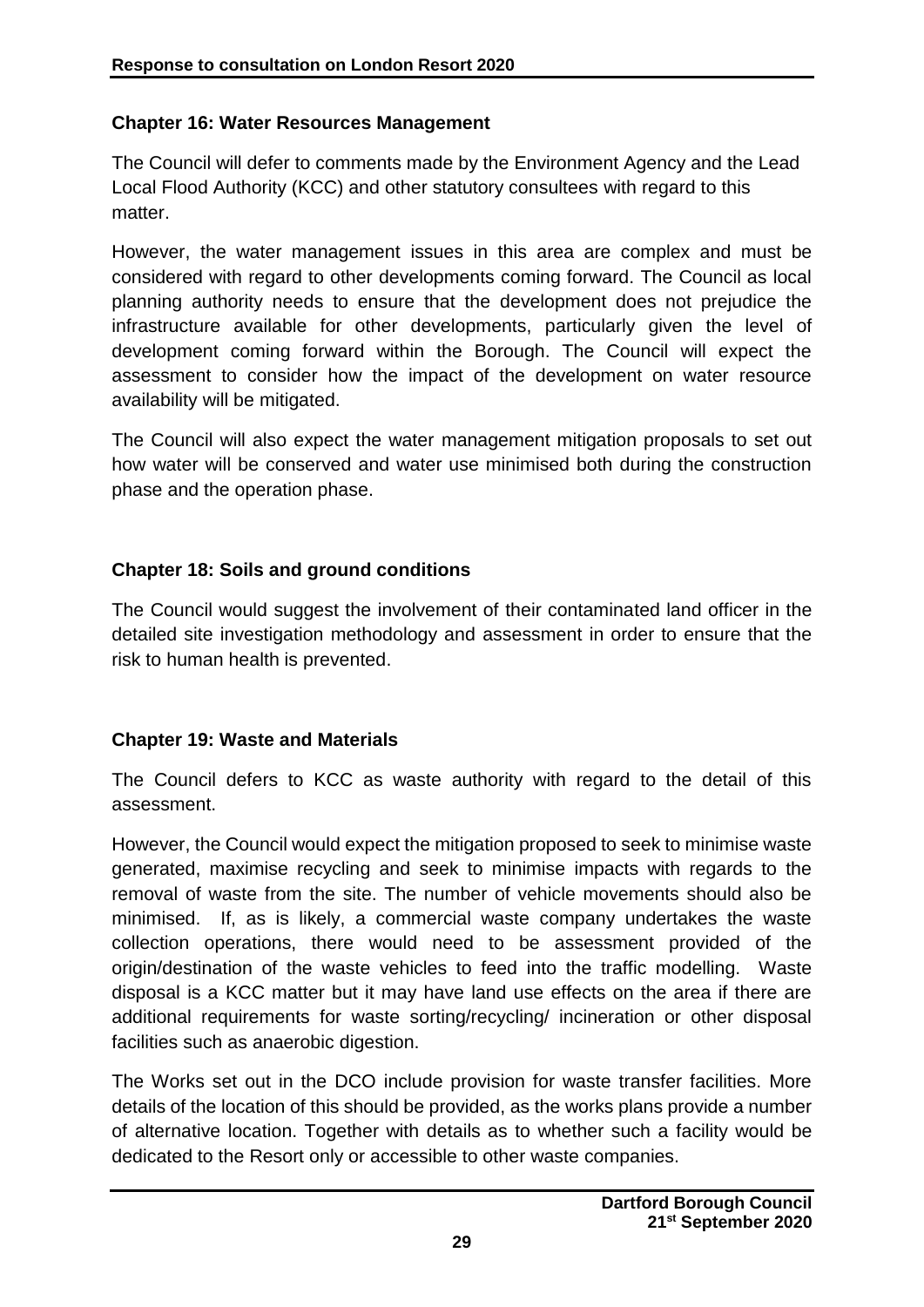#### **Chapter 16: Water Resources Management**

The Council will defer to comments made by the Environment Agency and the Lead Local Flood Authority (KCC) and other statutory consultees with regard to this matter.

However, the water management issues in this area are complex and must be considered with regard to other developments coming forward. The Council as local planning authority needs to ensure that the development does not prejudice the infrastructure available for other developments, particularly given the level of development coming forward within the Borough. The Council will expect the assessment to consider how the impact of the development on water resource availability will be mitigated.

The Council will also expect the water management mitigation proposals to set out how water will be conserved and water use minimised both during the construction phase and the operation phase.

#### **Chapter 18: Soils and ground conditions**

The Council would suggest the involvement of their contaminated land officer in the detailed site investigation methodology and assessment in order to ensure that the risk to human health is prevented.

#### **Chapter 19: Waste and Materials**

The Council defers to KCC as waste authority with regard to the detail of this assessment.

However, the Council would expect the mitigation proposed to seek to minimise waste generated, maximise recycling and seek to minimise impacts with regards to the removal of waste from the site. The number of vehicle movements should also be minimised. If, as is likely, a commercial waste company undertakes the waste collection operations, there would need to be assessment provided of the origin/destination of the waste vehicles to feed into the traffic modelling. Waste disposal is a KCC matter but it may have land use effects on the area if there are additional requirements for waste sorting/recycling/ incineration or other disposal facilities such as anaerobic digestion.

The Works set out in the DCO include provision for waste transfer facilities. More details of the location of this should be provided, as the works plans provide a number of alternative location. Together with details as to whether such a facility would be dedicated to the Resort only or accessible to other waste companies.